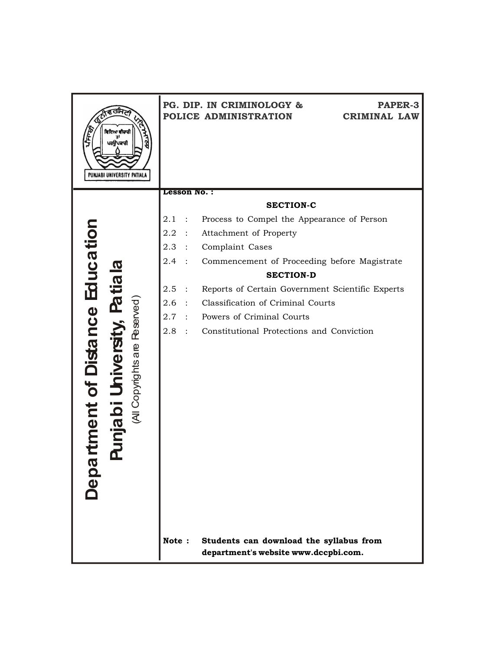| ਵਿਦਿਆ ਵੀਚਾਰੀ<br>ਪਰਉਪਕਾਰੀ                          |                          | PG. DIP. IN CRIMINOLOGY &<br><b>PAPER-3</b><br>POLICE ADMINISTRATION<br><b>CRIMINAL LAW</b> |
|---------------------------------------------------|--------------------------|---------------------------------------------------------------------------------------------|
| PUNJABI UNIVERSITY PATIAL                         |                          |                                                                                             |
|                                                   | Lesson No.:              |                                                                                             |
|                                                   |                          | <b>SECTION-C</b>                                                                            |
|                                                   | 2.1                      | Process to Compel the Appearance of Person                                                  |
| Education<br><b>Patiala</b>                       | 2.2                      | Attachment of Property                                                                      |
|                                                   | 2.3<br>$\mathbb{R}^2$    | Complaint Cases                                                                             |
|                                                   | 2.4                      | Commencement of Proceeding before Magistrate                                                |
|                                                   |                          | <b>SECTION-D</b>                                                                            |
|                                                   | 2.5<br>$\mathbf{r}$      | Reports of Certain Government Scientific Experts                                            |
|                                                   | 2.6<br>$\sim$ $\sim$     | Classification of Criminal Courts                                                           |
|                                                   | 2.7<br>$\sim$ 100 $\sim$ | Powers of Criminal Courts                                                                   |
|                                                   | 2.8<br>$\sim$ 100 $\sim$ | Constitutional Protections and Conviction                                                   |
| (All Copyrights are Reserved)<br>ment of Distance |                          |                                                                                             |
|                                                   |                          |                                                                                             |
|                                                   |                          |                                                                                             |
|                                                   |                          |                                                                                             |
| njabil                                            |                          |                                                                                             |
|                                                   |                          |                                                                                             |
|                                                   |                          |                                                                                             |
|                                                   |                          |                                                                                             |
|                                                   |                          |                                                                                             |
| pda                                               |                          |                                                                                             |
|                                                   |                          |                                                                                             |
|                                                   |                          |                                                                                             |
|                                                   |                          |                                                                                             |
|                                                   | Note:                    | Students can download the syllabus from<br>department's website www.dccpbi.com.             |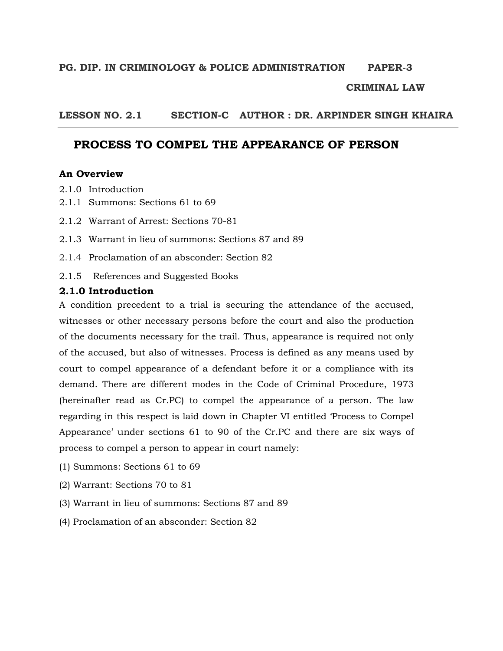# **PG. DIP. IN CRIMINOLOGY & POLICE ADMINISTRATION PAPER-3**

# **CRIMINAL LAW**

### **LESSON NO. 2.1 SECTION-C AUTHOR : DR. ARPINDER SINGH KHAIRA**

# **PROCESS TO COMPEL THE APPEARANCE OF PERSON**

#### **An Overview**

- 2.1.0 Introduction
- 2.1.1 Summons: Sections 61 to 69
- 2.1.2 Warrant of Arrest: Sections 70-81
- 2.1.3 Warrant in lieu of summons: Sections 87 and 89
- 2.1.4 Proclamation of an absconder: Section 82
- 2.1.5 References and Suggested Books

#### **2.1.0 Introduction**

A condition precedent to a trial is securing the attendance of the accused, witnesses or other necessary persons before the court and also the production of the documents necessary for the trail. Thus, appearance is required not only of the accused, but also of witnesses. Process is defined as any means used by court to compel appearance of a defendant before it or a compliance with its demand. There are different modes in the Code of Criminal Procedure, 1973 (hereinafter read as Cr.PC) to compel the appearance of a person. The law regarding in this respect is laid down in Chapter VI entitled 'Process to Compel Appearance' under sections 61 to 90 of the Cr.PC and there are six ways of process to compel a person to appear in court namely:

- (1) Summons: Sections 61 to 69
- (2) Warrant: Sections 70 to 81
- (3) Warrant in lieu of summons: Sections 87 and 89
- (4) Proclamation of an absconder: Section 82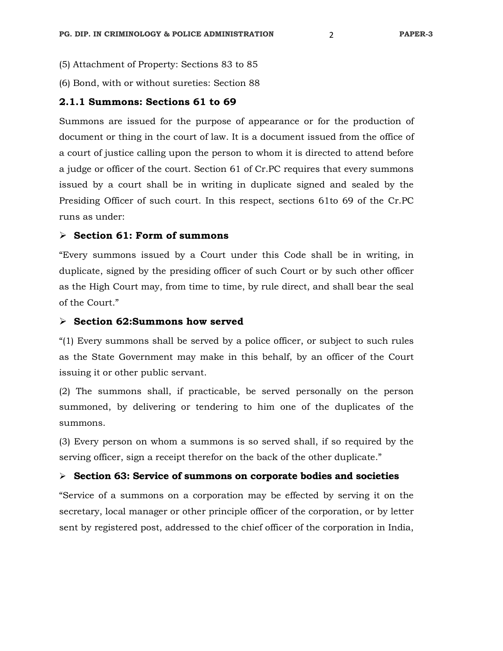- (5) Attachment of Property: Sections 83 to 85
- (6) Bond, with or without sureties: Section 88

#### **2.1.1 Summons: Sections 61 to 69**

Summons are issued for the purpose of appearance or for the production of document or thing in the court of law. It is a document issued from the office of a court of justice calling upon the person to whom it is directed to attend before a judge or officer of the court. Section 61 of Cr.PC requires that every summons issued by a court shall be in writing in duplicate signed and sealed by the Presiding Officer of such court. In this respect, sections 61to 69 of the Cr.PC runs as under:

### **Section 61: Form of summons**

"Every summons issued by a Court under this Code shall be in writing, in duplicate, signed by the presiding officer of such Court or by such other officer as the High Court may, from time to time, by rule direct, and shall bear the seal of the Court."

#### **Section 62:Summons how served**

"(1) Every summons shall be served by a police officer, or subject to such rules as the State Government may make in this behalf, by an officer of the Court issuing it or other public servant.

(2) The summons shall, if practicable, be served personally on the person summoned, by delivering or tendering to him one of the duplicates of the summons.

(3) Every person on whom a summons is so served shall, if so required by the serving officer, sign a receipt therefor on the back of the other duplicate."

#### **Section 63: Service of summons on corporate bodies and societies**

"Service of a summons on a corporation may be effected by serving it on the secretary, local manager or other principle officer of the corporation, or by letter sent by registered post, addressed to the chief officer of the corporation in India,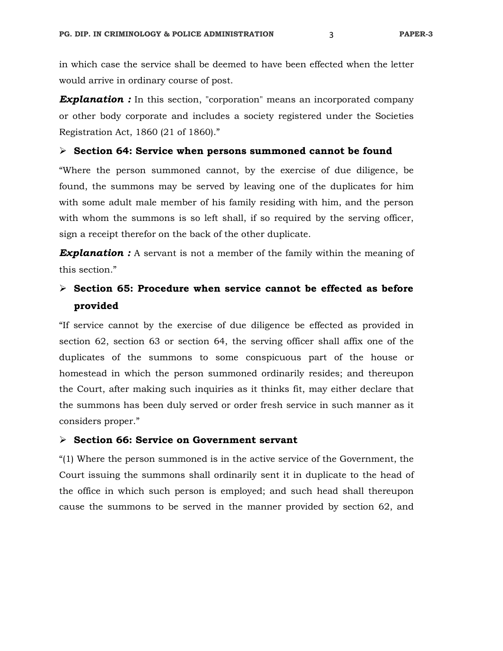in which case the service shall be deemed to have been effected when the letter would arrive in ordinary course of post.

**Explanation :** In this section, "corporation" means an incorporated company or other body corporate and includes a society registered under the Societies Registration Act, 1860 (21 of 1860)."

#### **Section 64: Service when persons summoned cannot be found**

"Where the person summoned cannot, by the exercise of due diligence, be found, the summons may be served by leaving one of the duplicates for him with some adult male member of his family residing with him, and the person with whom the summons is so left shall, if so required by the serving officer, sign a receipt therefor on the back of the other duplicate.

**Explanation :** A servant is not a member of the family within the meaning of this section."

# **Section 65: Procedure when service cannot be effected as before provided**

"If service cannot by the exercise of due diligence be effected as provided in section 62, section 63 or section 64, the serving officer shall affix one of the duplicates of the summons to some conspicuous part of the house or homestead in which the person summoned ordinarily resides; and thereupon the Court, after making such inquiries as it thinks fit, may either declare that the summons has been duly served or order fresh service in such manner as it considers proper."

# **Section 66: Service on Government servant**

"(1) Where the person summoned is in the active service of the Government, the Court issuing the summons shall ordinarily sent it in duplicate to the head of the office in which such person is employed; and such head shall thereupon cause the summons to be served in the manner provided by section 62, and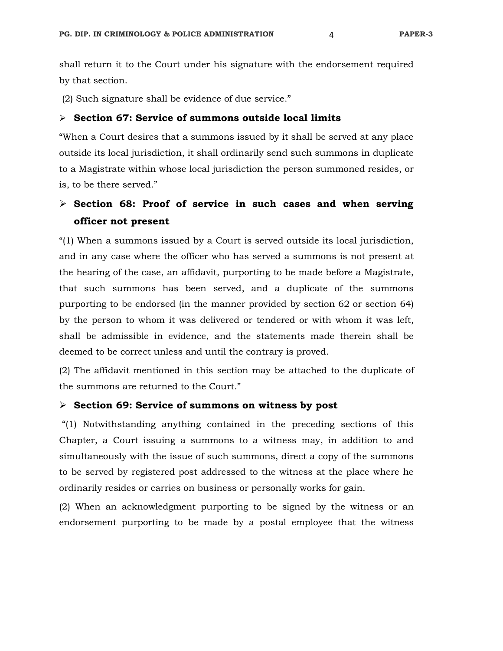shall return it to the Court under his signature with the endorsement required by that section.

(2) Such signature shall be evidence of due service."

#### **Section 67: Service of summons outside local limits**

"When a Court desires that a summons issued by it shall be served at any place outside its local jurisdiction, it shall ordinarily send such summons in duplicate to a Magistrate within whose local jurisdiction the person summoned resides, or is, to be there served."

# **Section 68: Proof of service in such cases and when serving officer not present**

"(1) When a summons issued by a Court is served outside its local jurisdiction, and in any case where the officer who has served a summons is not present at the hearing of the case, an affidavit, purporting to be made before a Magistrate, that such summons has been served, and a duplicate of the summons purporting to be endorsed (in the manner provided by section 62 or section 64) by the person to whom it was delivered or tendered or with whom it was left, shall be admissible in evidence, and the statements made therein shall be deemed to be correct unless and until the contrary is proved.

(2) The affidavit mentioned in this section may be attached to the duplicate of the summons are returned to the Court."

#### **Section 69: Service of summons on witness by post**

 "(1) Notwithstanding anything contained in the preceding sections of this Chapter, a Court issuing a summons to a witness may, in addition to and simultaneously with the issue of such summons, direct a copy of the summons to be served by registered post addressed to the witness at the place where he ordinarily resides or carries on business or personally works for gain.

(2) When an acknowledgment purporting to be signed by the witness or an endorsement purporting to be made by a postal employee that the witness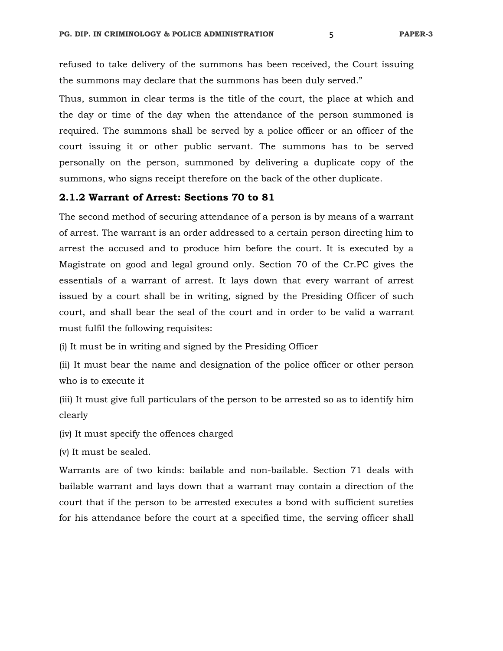refused to take delivery of the summons has been received, the Court issuing the summons may declare that the summons has been duly served."

Thus, summon in clear terms is the title of the court, the place at which and the day or time of the day when the attendance of the person summoned is required. The summons shall be served by a police officer or an officer of the court issuing it or other public servant. The summons has to be served personally on the person, summoned by delivering a duplicate copy of the summons, who signs receipt therefore on the back of the other duplicate.

#### **2.1.2 Warrant of Arrest: Sections 70 to 81**

The second method of securing attendance of a person is by means of a warrant of arrest. The warrant is an order addressed to a certain person directing him to arrest the accused and to produce him before the court. It is executed by a Magistrate on good and legal ground only. Section 70 of the Cr.PC gives the essentials of a warrant of arrest. It lays down that every warrant of arrest issued by a court shall be in writing, signed by the Presiding Officer of such court, and shall bear the seal of the court and in order to be valid a warrant must fulfil the following requisites:

(i) It must be in writing and signed by the Presiding Officer

(ii) It must bear the name and designation of the police officer or other person who is to execute it

(iii) It must give full particulars of the person to be arrested so as to identify him clearly

(iv) It must specify the offences charged

(v) It must be sealed.

Warrants are of two kinds: bailable and non-bailable. Section 71 deals with bailable warrant and lays down that a warrant may contain a direction of the court that if the person to be arrested executes a bond with sufficient sureties for his attendance before the court at a specified time, the serving officer shall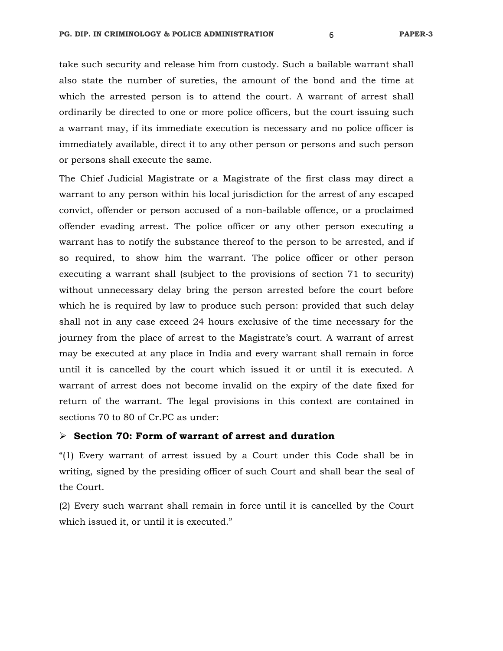take such security and release him from custody. Such a bailable warrant shall also state the number of sureties, the amount of the bond and the time at which the arrested person is to attend the court. A warrant of arrest shall ordinarily be directed to one or more police officers, but the court issuing such a warrant may, if its immediate execution is necessary and no police officer is immediately available, direct it to any other person or persons and such person or persons shall execute the same.

The Chief Judicial Magistrate or a Magistrate of the first class may direct a warrant to any person within his local jurisdiction for the arrest of any escaped convict, offender or person accused of a non-bailable offence, or a proclaimed offender evading arrest. The police officer or any other person executing a warrant has to notify the substance thereof to the person to be arrested, and if so required, to show him the warrant. The police officer or other person executing a warrant shall (subject to the provisions of section 71 to security) without unnecessary delay bring the person arrested before the court before which he is required by law to produce such person: provided that such delay shall not in any case exceed 24 hours exclusive of the time necessary for the journey from the place of arrest to the Magistrate's court. A warrant of arrest may be executed at any place in India and every warrant shall remain in force until it is cancelled by the court which issued it or until it is executed. A warrant of arrest does not become invalid on the expiry of the date fixed for return of the warrant. The legal provisions in this context are contained in sections 70 to 80 of Cr.PC as under:

#### **Section 70: Form of warrant of arrest and duration**

"(1) Every warrant of arrest issued by a Court under this Code shall be in writing, signed by the presiding officer of such Court and shall bear the seal of the Court.

(2) Every such warrant shall remain in force until it is cancelled by the Court which issued it, or until it is executed."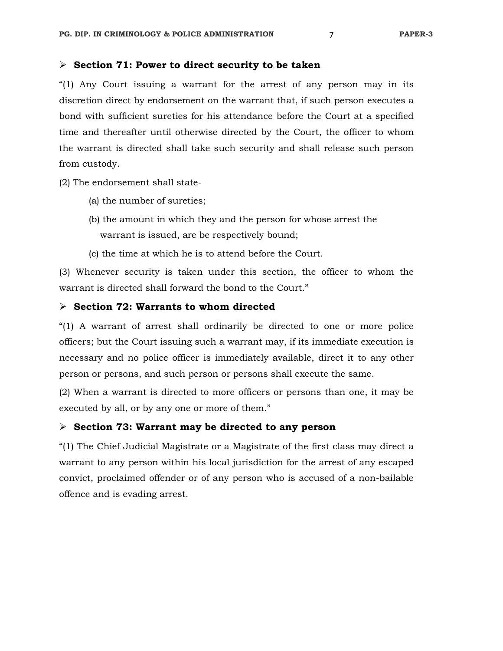#### **Section 71: Power to direct security to be taken**

"(1) Any Court issuing a warrant for the arrest of any person may in its discretion direct by endorsement on the warrant that, if such person executes a bond with sufficient sureties for his attendance before the Court at a specified time and thereafter until otherwise directed by the Court, the officer to whom the warrant is directed shall take such security and shall release such person from custody.

(2) The endorsement shall state-

- (a) the number of sureties;
- (b) the amount in which they and the person for whose arrest the warrant is issued, are be respectively bound;
- (c) the time at which he is to attend before the Court.

(3) Whenever security is taken under this section, the officer to whom the warrant is directed shall forward the bond to the Court."

#### **Section 72: Warrants to whom directed**

"(1) A warrant of arrest shall ordinarily be directed to one or more police officers; but the Court issuing such a warrant may, if its immediate execution is necessary and no police officer is immediately available, direct it to any other person or persons, and such person or persons shall execute the same.

(2) When a warrant is directed to more officers or persons than one, it may be executed by all, or by any one or more of them."

#### **Section 73: Warrant may be directed to any person**

"(1) The Chief Judicial Magistrate or a Magistrate of the first class may direct a warrant to any person within his local jurisdiction for the arrest of any escaped convict, proclaimed offender or of any person who is accused of a non-bailable offence and is evading arrest.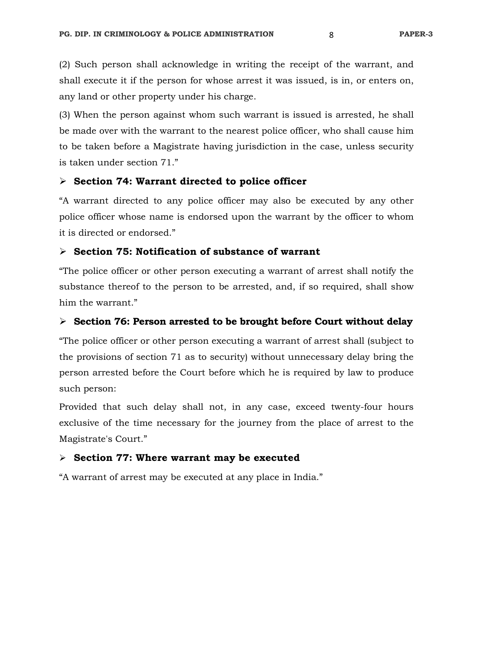(2) Such person shall acknowledge in writing the receipt of the warrant, and shall execute it if the person for whose arrest it was issued, is in, or enters on, any land or other property under his charge.

(3) When the person against whom such warrant is issued is arrested, he shall be made over with the warrant to the nearest police officer, who shall cause him to be taken before a Magistrate having jurisdiction in the case, unless security is taken under section 71."

#### **Section 74: Warrant directed to police officer**

"A warrant directed to any police officer may also be executed by any other police officer whose name is endorsed upon the warrant by the officer to whom it is directed or endorsed."

# **Section 75: Notification of substance of warrant**

"The police officer or other person executing a warrant of arrest shall notify the substance thereof to the person to be arrested, and, if so required, shall show him the warrant."

#### **Section 76: Person arrested to be brought before Court without delay**

"The police officer or other person executing a warrant of arrest shall (subject to the provisions of section 71 as to security) without unnecessary delay bring the person arrested before the Court before which he is required by law to produce such person:

Provided that such delay shall not, in any case, exceed twenty-four hours exclusive of the time necessary for the journey from the place of arrest to the Magistrate's Court."

#### **Section 77: Where warrant may be executed**

"A warrant of arrest may be executed at any place in India."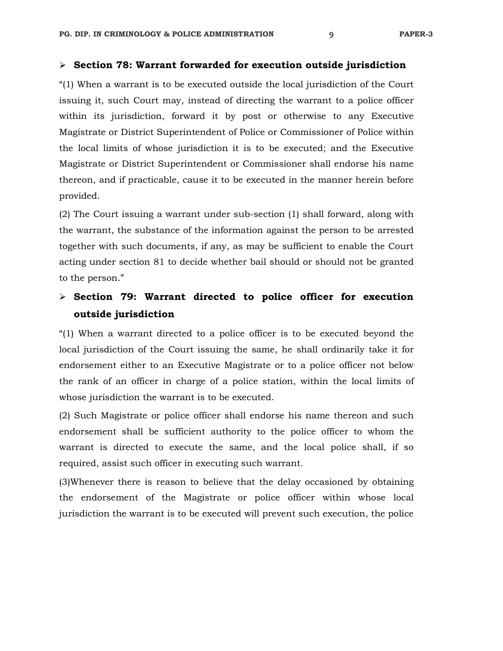#### **Section 78: Warrant forwarded for execution outside jurisdiction**

"(1) When a warrant is to be executed outside the local jurisdiction of the Court issuing it, such Court may, instead of directing the warrant to a police officer within its jurisdiction, forward it by post or otherwise to any Executive Magistrate or District Superintendent of Police or Commissioner of Police within the local limits of whose jurisdiction it is to be executed; and the Executive Magistrate or District Superintendent or Commissioner shall endorse his name thereon, and if practicable, cause it to be executed in the manner herein before provided.

(2) The Court issuing a warrant under sub-section (1) shall forward, along with the warrant, the substance of the information against the person to be arrested together with such documents, if any, as may be sufficient to enable the Court acting under section 81 to decide whether bail should or should not be granted to the person."

# **Section 79: Warrant directed to police officer for execution outside jurisdiction**

"(1) When a warrant directed to a police officer is to be executed beyond the local jurisdiction of the Court issuing the same, he shall ordinarily take it for endorsement either to an Executive Magistrate or to a police officer not below the rank of an officer in charge of a police station, within the local limits of whose jurisdiction the warrant is to be executed.

(2) Such Magistrate or police officer shall endorse his name thereon and such endorsement shall be sufficient authority to the police officer to whom the warrant is directed to execute the same, and the local police shall, if so required, assist such officer in executing such warrant.

(3)Whenever there is reason to believe that the delay occasioned by obtaining the endorsement of the Magistrate or police officer within whose local jurisdiction the warrant is to be executed will prevent such execution, the police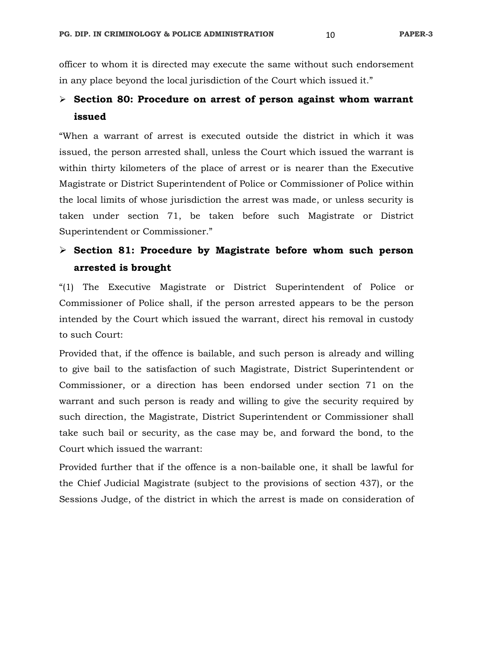officer to whom it is directed may execute the same without such endorsement in any place beyond the local jurisdiction of the Court which issued it."

# **Section 80: Procedure on arrest of person against whom warrant issued**

"When a warrant of arrest is executed outside the district in which it was issued, the person arrested shall, unless the Court which issued the warrant is within thirty kilometers of the place of arrest or is nearer than the Executive Magistrate or District Superintendent of Police or Commissioner of Police within the local limits of whose jurisdiction the arrest was made, or unless security is taken under section 71, be taken before such Magistrate or District Superintendent or Commissioner."

# **Section 81: Procedure by Magistrate before whom such person arrested is brought**

"(1) The Executive Magistrate or District Superintendent of Police or Commissioner of Police shall, if the person arrested appears to be the person intended by the Court which issued the warrant, direct his removal in custody to such Court:

Provided that, if the offence is bailable, and such person is already and willing to give bail to the satisfaction of such Magistrate, District Superintendent or Commissioner, or a direction has been endorsed under section 71 on the warrant and such person is ready and willing to give the security required by such direction, the Magistrate, District Superintendent or Commissioner shall take such bail or security, as the case may be, and forward the bond, to the Court which issued the warrant:

Provided further that if the offence is a non-bailable one, it shall be lawful for the Chief Judicial Magistrate (subject to the provisions of section 437), or the Sessions Judge, of the district in which the arrest is made on consideration of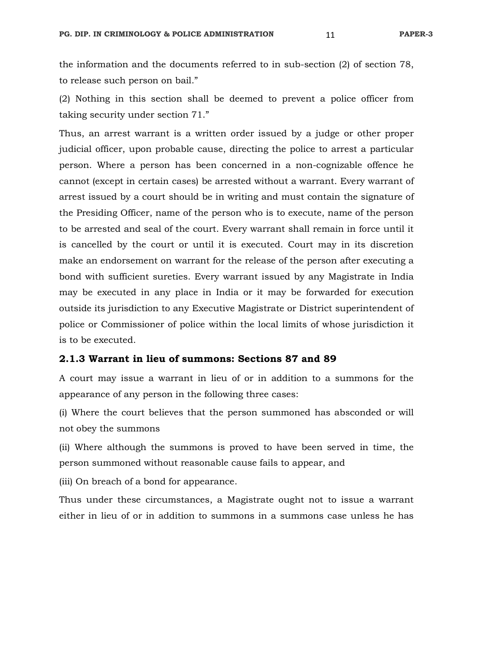the information and the documents referred to in sub-section (2) of section 78, to release such person on bail."

(2) Nothing in this section shall be deemed to prevent a police officer from taking security under section 71."

Thus, an arrest warrant is a written order issued by a judge or other proper judicial officer, upon probable cause, directing the police to arrest a particular person. Where a person has been concerned in a non-cognizable offence he cannot (except in certain cases) be arrested without a warrant. Every warrant of arrest issued by a court should be in writing and must contain the signature of the Presiding Officer, name of the person who is to execute, name of the person to be arrested and seal of the court. Every warrant shall remain in force until it is cancelled by the court or until it is executed. Court may in its discretion make an endorsement on warrant for the release of the person after executing a bond with sufficient sureties. Every warrant issued by any Magistrate in India may be executed in any place in India or it may be forwarded for execution outside its jurisdiction to any Executive Magistrate or District superintendent of police or Commissioner of police within the local limits of whose jurisdiction it is to be executed.

#### **2.1.3 Warrant in lieu of summons: Sections 87 and 89**

A court may issue a warrant in lieu of or in addition to a summons for the appearance of any person in the following three cases:

(i) Where the court believes that the person summoned has absconded or will not obey the summons

(ii) Where although the summons is proved to have been served in time, the person summoned without reasonable cause fails to appear, and

(iii) On breach of a bond for appearance.

Thus under these circumstances, a Magistrate ought not to issue a warrant either in lieu of or in addition to summons in a summons case unless he has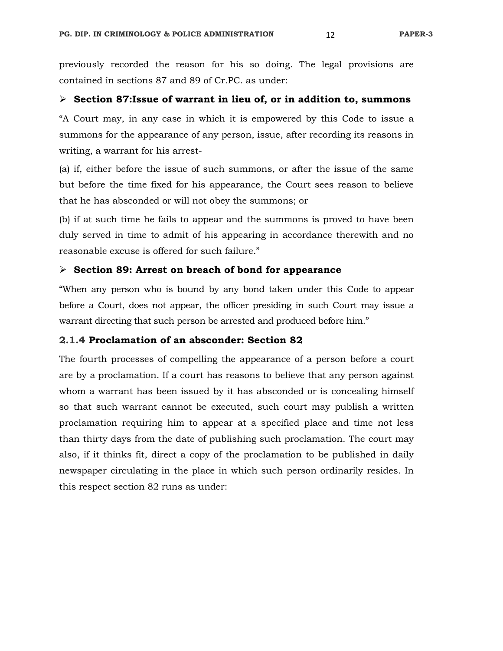previously recorded the reason for his so doing. The legal provisions are contained in sections 87 and 89 of Cr.PC. as under:

# **Section 87:Issue of warrant in lieu of, or in addition to, summons**

"A Court may, in any case in which it is empowered by this Code to issue a summons for the appearance of any person, issue, after recording its reasons in writing, a warrant for his arrest-

(a) if, either before the issue of such summons, or after the issue of the same but before the time fixed for his appearance, the Court sees reason to believe that he has absconded or will not obey the summons; or

(b) if at such time he fails to appear and the summons is proved to have been duly served in time to admit of his appearing in accordance therewith and no reasonable excuse is offered for such failure."

# **Section 89: Arrest on breach of bond for appearance**

"When any person who is bound by any bond taken under this Code to appear before a Court, does not appear, the officer presiding in such Court may issue a warrant directing that such person be arrested and produced before him."

### **2.1.4 Proclamation of an absconder: Section 82**

The fourth processes of compelling the appearance of a person before a court are by a proclamation. If a court has reasons to believe that any person against whom a warrant has been issued by it has absconded or is concealing himself so that such warrant cannot be executed, such court may publish a written proclamation requiring him to appear at a specified place and time not less than thirty days from the date of publishing such proclamation. The court may also, if it thinks fit, direct a copy of the proclamation to be published in daily newspaper circulating in the place in which such person ordinarily resides. In this respect section 82 runs as under: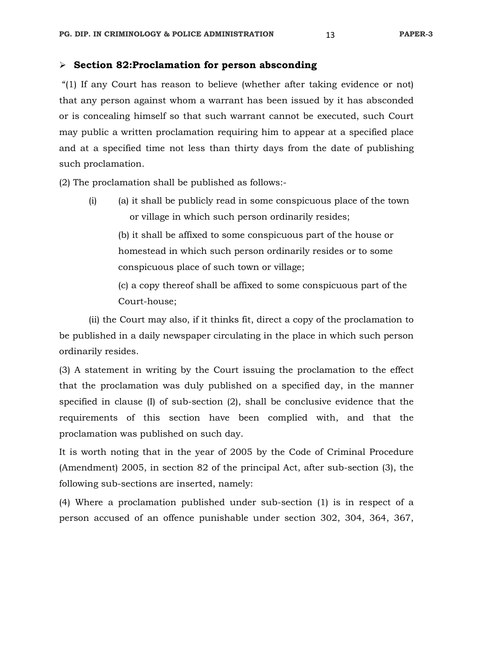#### **Section 82:Proclamation for person absconding**

 "(1) If any Court has reason to believe (whether after taking evidence or not) that any person against whom a warrant has been issued by it has absconded or is concealing himself so that such warrant cannot be executed, such Court may public a written proclamation requiring him to appear at a specified place and at a specified time not less than thirty days from the date of publishing such proclamation.

(2) The proclamation shall be published as follows:-

 (i) (a) it shall be publicly read in some conspicuous place of the town or village in which such person ordinarily resides;

 (b) it shall be affixed to some conspicuous part of the house or homestead in which such person ordinarily resides or to some conspicuous place of such town or village;

 (c) a copy thereof shall be affixed to some conspicuous part of the Court-house;

 (ii) the Court may also, if it thinks fit, direct a copy of the proclamation to be published in a daily newspaper circulating in the place in which such person ordinarily resides.

(3) A statement in writing by the Court issuing the proclamation to the effect that the proclamation was duly published on a specified day, in the manner specified in clause (I) of sub-section (2), shall be conclusive evidence that the requirements of this section have been complied with, and that the proclamation was published on such day.

It is worth noting that in the year of 2005 by the Code of Criminal Procedure (Amendment) 2005, in section 82 of the principal Act, after sub-section (3), the following sub-sections are inserted, namely:

(4) Where a proclamation published under sub-section (1) is in respect of a person accused of an offence punishable under section 302, 304, 364, 367,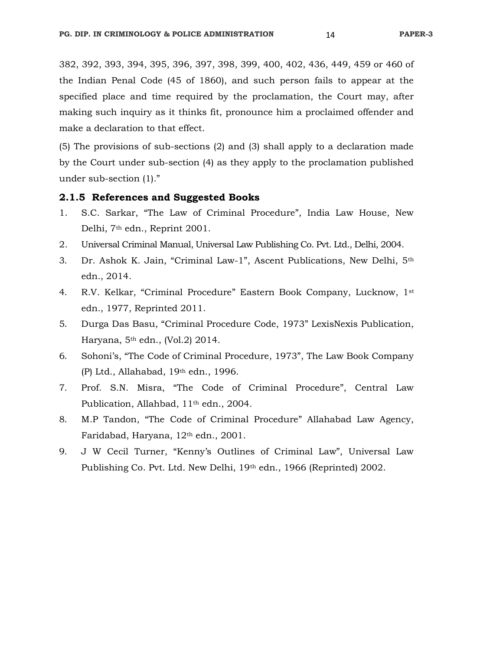382, 392, 393, 394, 395, 396, 397, 398, 399, 400, 402, 436, 449, 459 or 460 of the Indian Penal Code (45 of 1860), and such person fails to appear at the specified place and time required by the proclamation, the Court may, after making such inquiry as it thinks fit, pronounce him a proclaimed offender and make a declaration to that effect.

(5) The provisions of sub-sections (2) and (3) shall apply to a declaration made by the Court under sub-section (4) as they apply to the proclamation published under sub-section (1)."

#### **2.1.5 References and Suggested Books**

- 1. S.C. Sarkar, "The Law of Criminal Procedure", India Law House, New Delhi, 7th edn., Reprint 2001.
- 2. Universal Criminal Manual, Universal Law Publishing Co. Pvt. Ltd., Delhi, 2004.
- 3. Dr. Ashok K. Jain, "Criminal Law-1", Ascent Publications, New Delhi, 5th edn., 2014.
- 4. R.V. Kelkar, "Criminal Procedure" Eastern Book Company, Lucknow, 1st edn., 1977, Reprinted 2011.
- 5. Durga Das Basu, "Criminal Procedure Code, 1973" LexisNexis Publication, Haryana, 5th edn., (Vol.2) 2014.
- 6. Sohoni's, "The Code of Criminal Procedure, 1973", The Law Book Company (P) Ltd., Allahabad, 19th edn., 1996.
- 7. Prof. S.N. Misra, "The Code of Criminal Procedure", Central Law Publication, Allahbad, 11<sup>th</sup> edn., 2004.
- 8. M.P Tandon, "The Code of Criminal Procedure" Allahabad Law Agency, Faridabad, Haryana, 12th edn., 2001.
- 9. J W Cecil Turner, "Kenny's Outlines of Criminal Law", Universal Law Publishing Co. Pvt. Ltd. New Delhi, 19th edn., 1966 (Reprinted) 2002.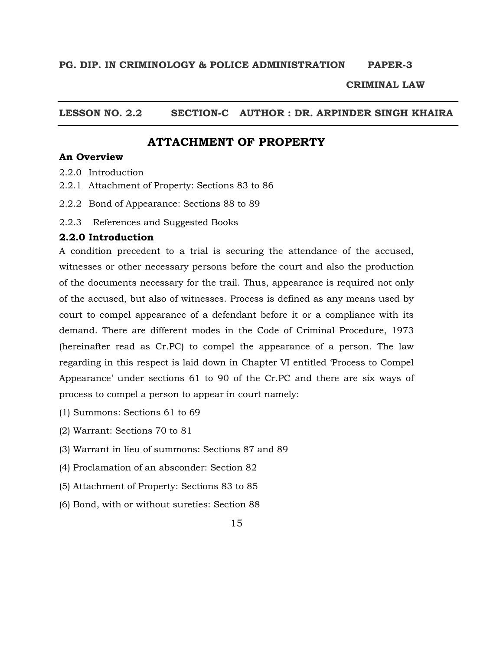#### **CRIMINAL LAW**

# **LESSON NO. 2.2 SECTION-C AUTHOR : DR. ARPINDER SINGH KHAIRA**

# **ATTACHMENT OF PROPERTY**

#### **An Overview**

- 2.2.0 Introduction
- 2.2.1 Attachment of Property: Sections 83 to 86
- 2.2.2 Bond of Appearance: Sections 88 to 89
- 2.2.3 References and Suggested Books

#### **2.2.0 Introduction**

A condition precedent to a trial is securing the attendance of the accused, witnesses or other necessary persons before the court and also the production of the documents necessary for the trail. Thus, appearance is required not only of the accused, but also of witnesses. Process is defined as any means used by court to compel appearance of a defendant before it or a compliance with its demand. There are different modes in the Code of Criminal Procedure, 1973 (hereinafter read as Cr.PC) to compel the appearance of a person. The law regarding in this respect is laid down in Chapter VI entitled 'Process to Compel Appearance' under sections 61 to 90 of the Cr.PC and there are six ways of process to compel a person to appear in court namely:

- (1) Summons: Sections 61 to 69
- (2) Warrant: Sections 70 to 81
- (3) Warrant in lieu of summons: Sections 87 and 89
- (4) Proclamation of an absconder: Section 82
- (5) Attachment of Property: Sections 83 to 85
- (6) Bond, with or without sureties: Section 88
	- 15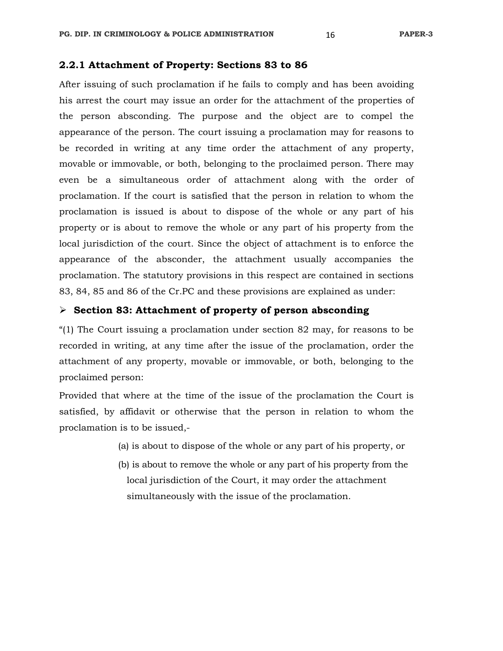#### **2.2.1 Attachment of Property: Sections 83 to 86**

After issuing of such proclamation if he fails to comply and has been avoiding his arrest the court may issue an order for the attachment of the properties of the person absconding. The purpose and the object are to compel the appearance of the person. The court issuing a proclamation may for reasons to be recorded in writing at any time order the attachment of any property, movable or immovable, or both, belonging to the proclaimed person. There may even be a simultaneous order of attachment along with the order of proclamation. If the court is satisfied that the person in relation to whom the proclamation is issued is about to dispose of the whole or any part of his property or is about to remove the whole or any part of his property from the local jurisdiction of the court. Since the object of attachment is to enforce the appearance of the absconder, the attachment usually accompanies the proclamation. The statutory provisions in this respect are contained in sections 83, 84, 85 and 86 of the Cr.PC and these provisions are explained as under:

#### **Section 83: Attachment of property of person absconding**

"(1) The Court issuing a proclamation under section 82 may, for reasons to be recorded in writing, at any time after the issue of the proclamation, order the attachment of any property, movable or immovable, or both, belonging to the proclaimed person:

Provided that where at the time of the issue of the proclamation the Court is satisfied, by affidavit or otherwise that the person in relation to whom the proclamation is to be issued,-

- (a) is about to dispose of the whole or any part of his property, or
- (b) is about to remove the whole or any part of his property from the local jurisdiction of the Court, it may order the attachment simultaneously with the issue of the proclamation.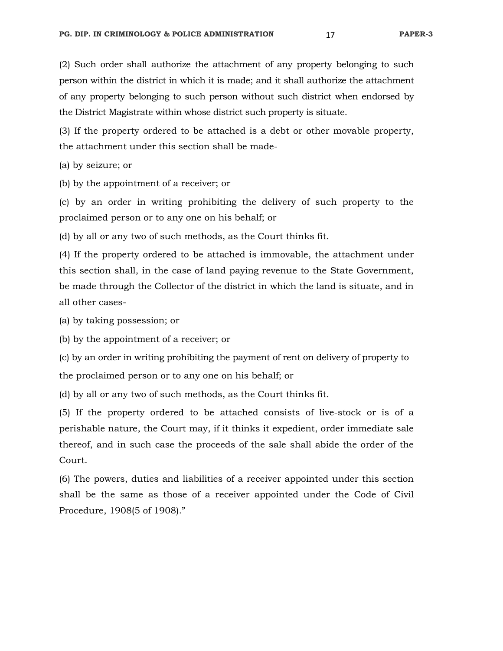(2) Such order shall authorize the attachment of any property belonging to such person within the district in which it is made; and it shall authorize the attachment of any property belonging to such person without such district when endorsed by the District Magistrate within whose district such property is situate.

(3) If the property ordered to be attached is a debt or other movable property, the attachment under this section shall be made-

(a) by seizure; or

(b) by the appointment of a receiver; or

(c) by an order in writing prohibiting the delivery of such property to the proclaimed person or to any one on his behalf; or

(d) by all or any two of such methods, as the Court thinks fit.

(4) If the property ordered to be attached is immovable, the attachment under this section shall, in the case of land paying revenue to the State Government, be made through the Collector of the district in which the land is situate, and in all other cases-

(a) by taking possession; or

(b) by the appointment of a receiver; or

(c) by an order in writing prohibiting the payment of rent on delivery of property to the proclaimed person or to any one on his behalf; or

(d) by all or any two of such methods, as the Court thinks fit.

(5) If the property ordered to be attached consists of live-stock or is of a perishable nature, the Court may, if it thinks it expedient, order immediate sale thereof, and in such case the proceeds of the sale shall abide the order of the Court.

(6) The powers, duties and liabilities of a receiver appointed under this section shall be the same as those of a receiver appointed under the Code of Civil Procedure, 1908(5 of 1908)."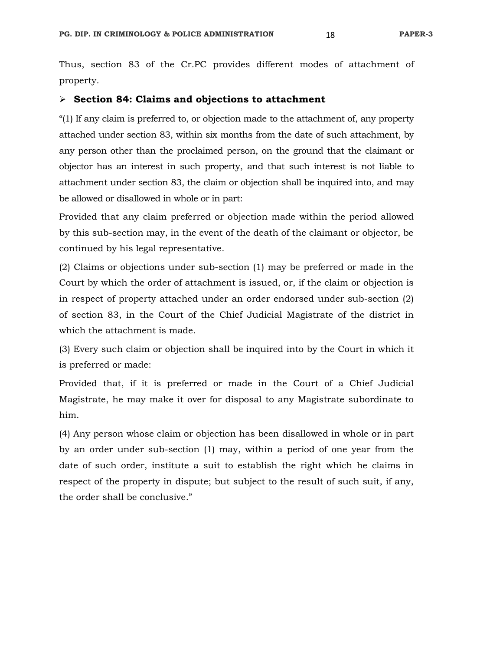Thus, section 83 of the Cr.PC provides different modes of attachment of property.

### **Section 84: Claims and objections to attachment**

"(1) If any claim is preferred to, or objection made to the attachment of, any property attached under section 83, within six months from the date of such attachment, by any person other than the proclaimed person, on the ground that the claimant or objector has an interest in such property, and that such interest is not liable to attachment under section 83, the claim or objection shall be inquired into, and may be allowed or disallowed in whole or in part:

Provided that any claim preferred or objection made within the period allowed by this sub-section may, in the event of the death of the claimant or objector, be continued by his legal representative.

(2) Claims or objections under sub-section (1) may be preferred or made in the Court by which the order of attachment is issued, or, if the claim or objection is in respect of property attached under an order endorsed under sub-section (2) of section 83, in the Court of the Chief Judicial Magistrate of the district in which the attachment is made.

(3) Every such claim or objection shall be inquired into by the Court in which it is preferred or made:

Provided that, if it is preferred or made in the Court of a Chief Judicial Magistrate, he may make it over for disposal to any Magistrate subordinate to him.

(4) Any person whose claim or objection has been disallowed in whole or in part by an order under sub-section (1) may, within a period of one year from the date of such order, institute a suit to establish the right which he claims in respect of the property in dispute; but subject to the result of such suit, if any, the order shall be conclusive."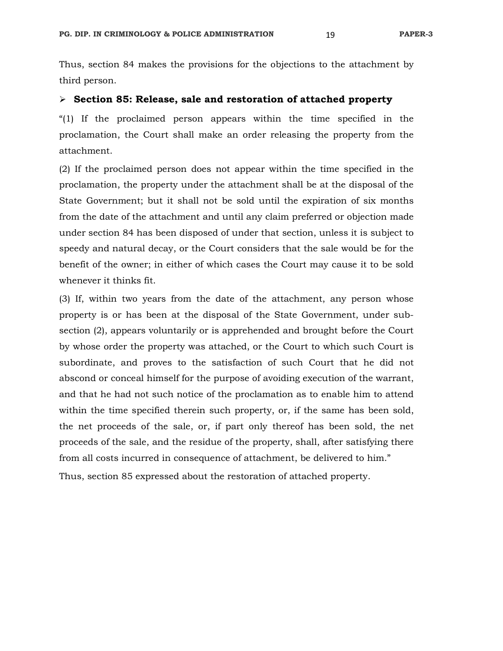Thus, section 84 makes the provisions for the objections to the attachment by third person.

#### **Section 85: Release, sale and restoration of attached property**

"(1) If the proclaimed person appears within the time specified in the proclamation, the Court shall make an order releasing the property from the attachment.

(2) If the proclaimed person does not appear within the time specified in the proclamation, the property under the attachment shall be at the disposal of the State Government; but it shall not be sold until the expiration of six months from the date of the attachment and until any claim preferred or objection made under section 84 has been disposed of under that section, unless it is subject to speedy and natural decay, or the Court considers that the sale would be for the benefit of the owner; in either of which cases the Court may cause it to be sold whenever it thinks fit.

(3) If, within two years from the date of the attachment, any person whose property is or has been at the disposal of the State Government, under subsection (2), appears voluntarily or is apprehended and brought before the Court by whose order the property was attached, or the Court to which such Court is subordinate, and proves to the satisfaction of such Court that he did not abscond or conceal himself for the purpose of avoiding execution of the warrant, and that he had not such notice of the proclamation as to enable him to attend within the time specified therein such property, or, if the same has been sold, the net proceeds of the sale, or, if part only thereof has been sold, the net proceeds of the sale, and the residue of the property, shall, after satisfying there from all costs incurred in consequence of attachment, be delivered to him."

Thus, section 85 expressed about the restoration of attached property.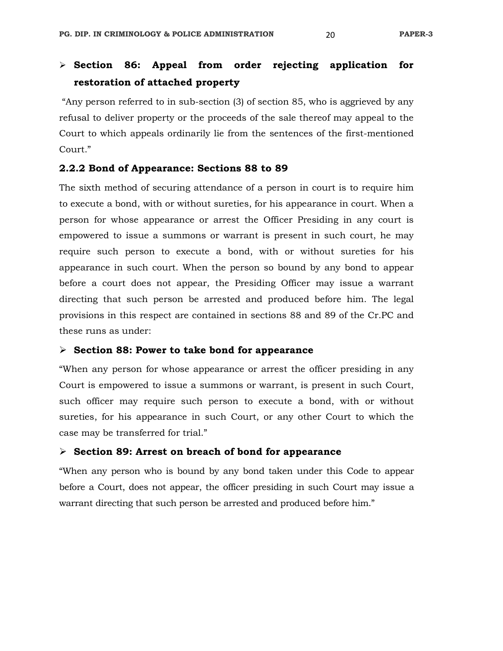# **Section 86: Appeal from order rejecting application for restoration of attached property**

 "Any person referred to in sub-section (3) of section 85, who is aggrieved by any refusal to deliver property or the proceeds of the sale thereof may appeal to the Court to which appeals ordinarily lie from the sentences of the first-mentioned Court."

#### **2.2.2 Bond of Appearance: Sections 88 to 89**

The sixth method of securing attendance of a person in court is to require him to execute a bond, with or without sureties, for his appearance in court. When a person for whose appearance or arrest the Officer Presiding in any court is empowered to issue a summons or warrant is present in such court, he may require such person to execute a bond, with or without sureties for his appearance in such court. When the person so bound by any bond to appear before a court does not appear, the Presiding Officer may issue a warrant directing that such person be arrested and produced before him. The legal provisions in this respect are contained in sections 88 and 89 of the Cr.PC and these runs as under:

#### **Section 88: Power to take bond for appearance**

"When any person for whose appearance or arrest the officer presiding in any Court is empowered to issue a summons or warrant, is present in such Court, such officer may require such person to execute a bond, with or without sureties, for his appearance in such Court, or any other Court to which the case may be transferred for trial."

#### **Section 89: Arrest on breach of bond for appearance**

"When any person who is bound by any bond taken under this Code to appear before a Court, does not appear, the officer presiding in such Court may issue a warrant directing that such person be arrested and produced before him."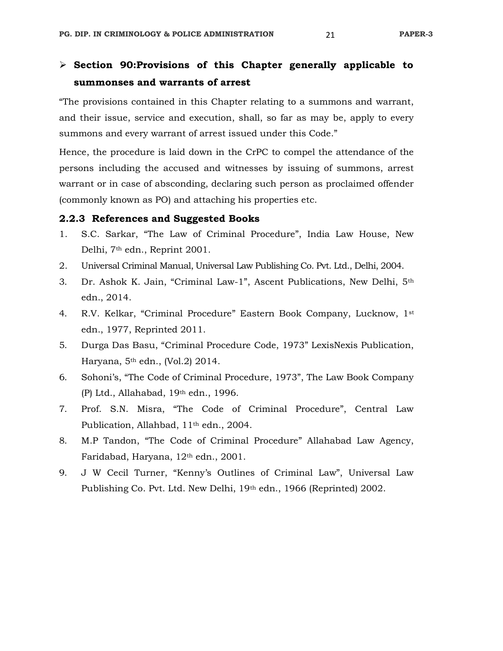"The provisions contained in this Chapter relating to a summons and warrant, and their issue, service and execution, shall, so far as may be, apply to every summons and every warrant of arrest issued under this Code."

Hence, the procedure is laid down in the CrPC to compel the attendance of the persons including the accused and witnesses by issuing of summons, arrest warrant or in case of absconding, declaring such person as proclaimed offender (commonly known as PO) and attaching his properties etc.

### **2.2.3 References and Suggested Books**

- 1. S.C. Sarkar, "The Law of Criminal Procedure", India Law House, New Delhi, 7th edn., Reprint 2001.
- 2. Universal Criminal Manual, Universal Law Publishing Co. Pvt. Ltd., Delhi, 2004.
- 3. Dr. Ashok K. Jain, "Criminal Law-1", Ascent Publications, New Delhi, 5th edn., 2014.
- 4. R.V. Kelkar, "Criminal Procedure" Eastern Book Company, Lucknow, 1st edn., 1977, Reprinted 2011.
- 5. Durga Das Basu, "Criminal Procedure Code, 1973" LexisNexis Publication, Haryana, 5th edn., (Vol.2) 2014.
- 6. Sohoni's, "The Code of Criminal Procedure, 1973", The Law Book Company (P) Ltd., Allahabad, 19th edn., 1996.
- 7. Prof. S.N. Misra, "The Code of Criminal Procedure", Central Law Publication, Allahbad, 11<sup>th</sup> edn., 2004.
- 8. M.P Tandon, "The Code of Criminal Procedure" Allahabad Law Agency, Faridabad, Haryana, 12th edn., 2001.
- 9. J W Cecil Turner, "Kenny's Outlines of Criminal Law", Universal Law Publishing Co. Pvt. Ltd. New Delhi, 19th edn., 1966 (Reprinted) 2002.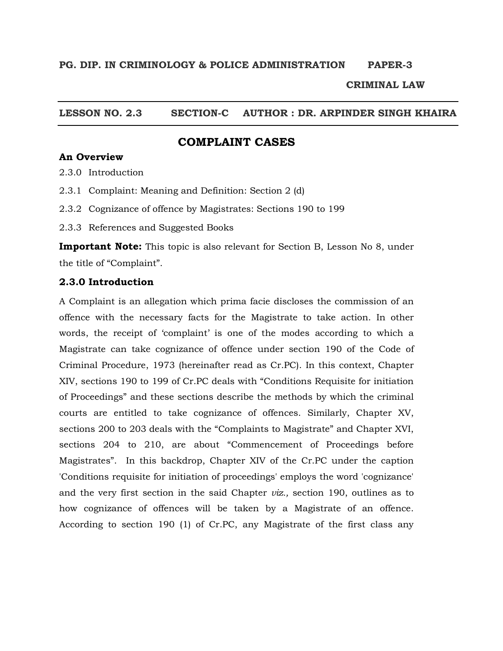#### **CRIMINAL LAW**

# **LESSON NO. 2.3 SECTION-C AUTHOR : DR. ARPINDER SINGH KHAIRA**

# **COMPLAINT CASES**

# **An Overview**

- 2.3.0 Introduction
- 2.3.1 Complaint: Meaning and Definition: Section 2 (d)
- 2.3.2 Cognizance of offence by Magistrates: Sections 190 to 199
- 2.3.3 References and Suggested Books

**Important Note:** This topic is also relevant for Section B, Lesson No 8, under the title of "Complaint".

#### **2.3.0 Introduction**

A Complaint is an allegation which prima facie discloses the commission of an offence with the necessary facts for the Magistrate to take action. In other words, the receipt of 'complaint' is one of the modes according to which a Magistrate can take cognizance of offence under section 190 of the Code of Criminal Procedure, 1973 (hereinafter read as Cr.PC). In this context, Chapter XIV, sections 190 to 199 of Cr.PC deals with "Conditions Requisite for initiation of Proceedings" and these sections describe the methods by which the criminal courts are entitled to take cognizance of offences. Similarly, Chapter XV, sections 200 to 203 deals with the "Complaints to Magistrate" and Chapter XVI, sections 204 to 210, are about "Commencement of Proceedings before Magistrates". In this backdrop, Chapter XIV of the Cr.PC under the caption 'Conditions requisite for initiation of proceedings' employs the word 'cognizance' and the very first section in the said Chapter *viz.,* section 190, outlines as to how cognizance of offences will be taken by a Magistrate of an offence. According to section 190 (1) of Cr.PC, any Magistrate of the first class any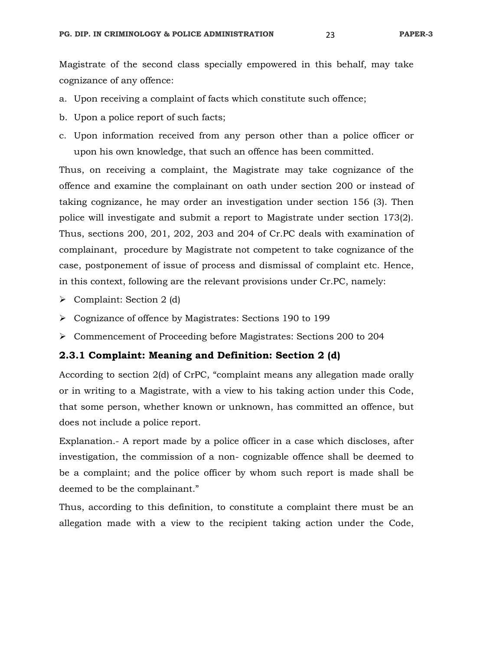Magistrate of the second class specially empowered in this behalf, may take cognizance of any offence:

- a. Upon receiving a complaint of facts which constitute such offence;
- b. Upon a police report of such facts;
- c. Upon information received from any person other than a police officer or upon his own knowledge, that such an offence has been committed.

Thus, on receiving a complaint, the Magistrate may take cognizance of the offence and examine the complainant on oath under section 200 or instead of taking cognizance, he may order an investigation under section 156 (3). Then police will investigate and submit a report to Magistrate under section 173(2). Thus, sections 200, 201, 202, 203 and 204 of Cr.PC deals with examination of complainant, procedure by Magistrate not competent to take cognizance of the case, postponement of issue of process and dismissal of complaint etc. Hence, in this context, following are the relevant provisions under Cr.PC, namely:

- $\triangleright$  Complaint: Section 2 (d)
- Cognizance of offence by Magistrates: Sections 190 to 199
- Commencement of Proceeding before Magistrates: Sections 200 to 204

#### **2.3.1 Complaint: Meaning and Definition: Section 2 (d)**

According to section 2(d) of CrPC, "complaint means any allegation made orally or in writing to a Magistrate, with a view to his taking action under this Code, that some person, whether known or unknown, has committed an offence, but does not include a police report.

Explanation.- A report made by a police officer in a case which discloses, after investigation, the commission of a non- cognizable offence shall be deemed to be a complaint; and the police officer by whom such report is made shall be deemed to be the complainant."

Thus, according to this definition, to constitute a complaint there must be an allegation made with a view to the recipient taking action under the Code,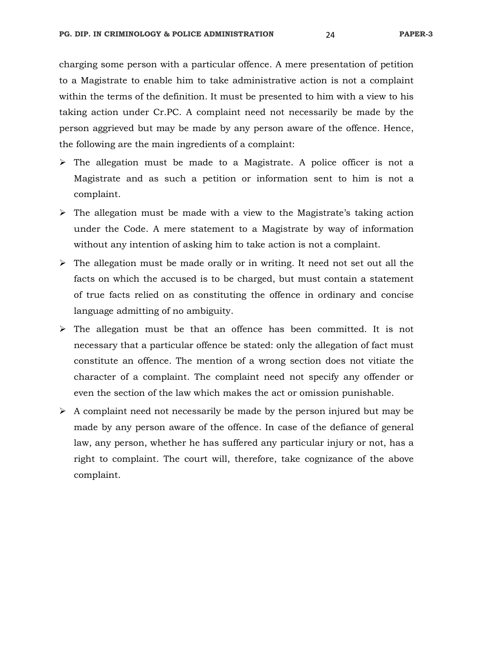charging some person with a particular offence. A mere presentation of petition to a Magistrate to enable him to take administrative action is not a complaint within the terms of the definition. It must be presented to him with a view to his taking action under Cr.PC. A complaint need not necessarily be made by the person aggrieved but may be made by any person aware of the offence. Hence, the following are the main ingredients of a complaint:

- $\triangleright$  The allegation must be made to a Magistrate. A police officer is not a Magistrate and as such a petition or information sent to him is not a complaint.
- $\triangleright$  The allegation must be made with a view to the Magistrate's taking action under the Code. A mere statement to a Magistrate by way of information without any intention of asking him to take action is not a complaint.
- $\triangleright$  The allegation must be made orally or in writing. It need not set out all the facts on which the accused is to be charged, but must contain a statement of true facts relied on as constituting the offence in ordinary and concise language admitting of no ambiguity.
- $\triangleright$  The allegation must be that an offence has been committed. It is not necessary that a particular offence be stated: only the allegation of fact must constitute an offence. The mention of a wrong section does not vitiate the character of a complaint. The complaint need not specify any offender or even the section of the law which makes the act or omission punishable.
- $\triangleright$  A complaint need not necessarily be made by the person injured but may be made by any person aware of the offence. In case of the defiance of general law, any person, whether he has suffered any particular injury or not, has a right to complaint. The court will, therefore, take cognizance of the above complaint.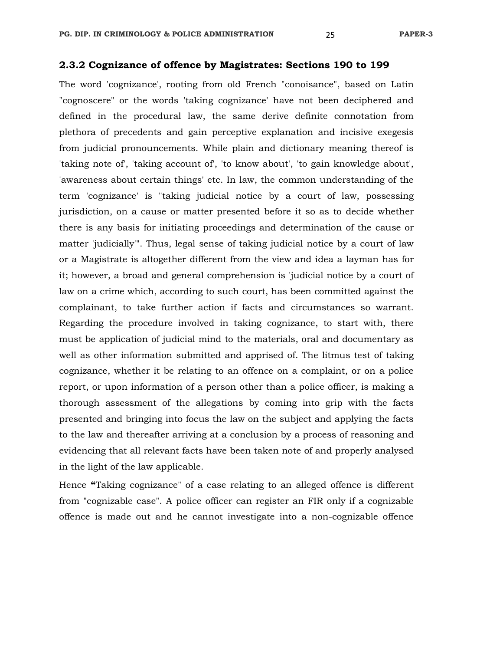#### **2.3.2 Cognizance of offence by Magistrates: Sections 190 to 199**

The word 'cognizance', rooting from old French "conoisance", based on Latin "cognoscere" or the words 'taking cognizance' have not been deciphered and defined in the procedural law, the same derive definite connotation from plethora of precedents and gain perceptive explanation and incisive exegesis from judicial pronouncements. While plain and dictionary meaning thereof is 'taking note of', 'taking account of', 'to know about', 'to gain knowledge about', 'awareness about certain things' etc. In law, the common understanding of the term 'cognizance' is "taking judicial notice by a court of law, possessing jurisdiction, on a cause or matter presented before it so as to decide whether there is any basis for initiating proceedings and determination of the cause or matter 'judicially'". Thus, legal sense of taking judicial notice by a court of law or a Magistrate is altogether different from the view and idea a layman has for it; however, a broad and general comprehension is 'judicial notice by a court of law on a crime which, according to such court, has been committed against the complainant, to take further action if facts and circumstances so warrant. Regarding the procedure involved in taking cognizance, to start with, there must be application of judicial mind to the materials, oral and documentary as well as other information submitted and apprised of. The litmus test of taking cognizance, whether it be relating to an offence on a complaint, or on a police report, or upon information of a person other than a police officer, is making a thorough assessment of the allegations by coming into grip with the facts presented and bringing into focus the law on the subject and applying the facts to the law and thereafter arriving at a conclusion by a process of reasoning and evidencing that all relevant facts have been taken note of and properly analysed in the light of the law applicable.

Hence **"**Taking cognizance" of a case relating to an alleged offence is different from "cognizable case". A police officer can register an FIR only if a cognizable offence is made out and he cannot investigate into a non-cognizable offence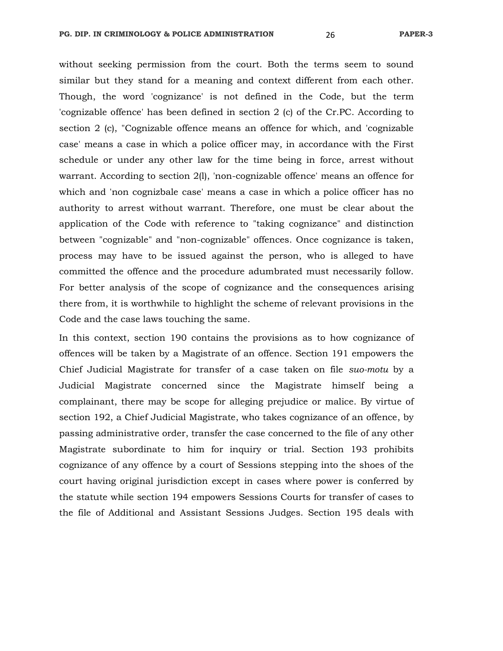without seeking permission from the court. Both the terms seem to sound similar but they stand for a meaning and context different from each other. Though, the word 'cognizance' is not defined in the Code, but the term 'cognizable offence' has been defined in section 2 (c) of the Cr.PC. According to section 2 (c), "Cognizable offence means an offence for which, and 'cognizable case' means a case in which a police officer may, in accordance with the First schedule or under any other law for the time being in force, arrest without warrant. According to section 2(l), 'non-cognizable offence' means an offence for which and 'non cognizbale case' means a case in which a police officer has no authority to arrest without warrant. Therefore, one must be clear about the application of the Code with reference to "taking cognizance" and distinction between "cognizable" and "non-cognizable" offences. Once cognizance is taken, process may have to be issued against the person, who is alleged to have committed the offence and the procedure adumbrated must necessarily follow. For better analysis of the scope of cognizance and the consequences arising there from, it is worthwhile to highlight the scheme of relevant provisions in the Code and the case laws touching the same.

In this context, section 190 contains the provisions as to how cognizance of offences will be taken by a Magistrate of an offence. Section 191 empowers the Chief Judicial Magistrate for transfer of a case taken on file *suo-motu* by a Judicial Magistrate concerned since the Magistrate himself being a complainant, there may be scope for alleging prejudice or malice. By virtue of section 192, a Chief Judicial Magistrate, who takes cognizance of an offence, by passing administrative order, transfer the case concerned to the file of any other Magistrate subordinate to him for inquiry or trial. Section 193 prohibits cognizance of any offence by a court of Sessions stepping into the shoes of the court having original jurisdiction except in cases where power is conferred by the statute while section 194 empowers Sessions Courts for transfer of cases to the file of Additional and Assistant Sessions Judges. Section 195 deals with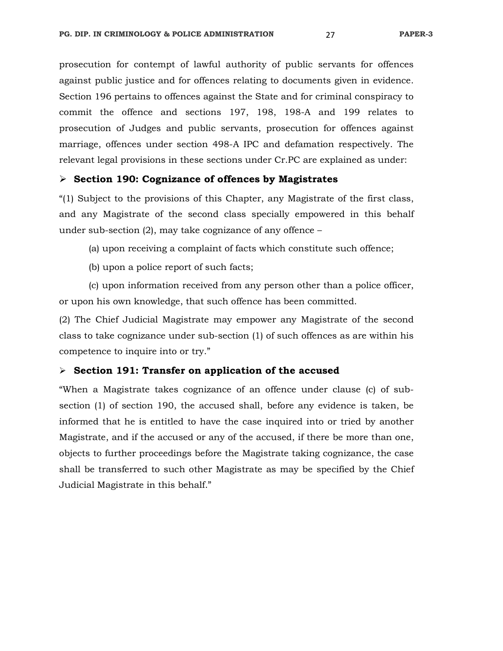prosecution for contempt of lawful authority of public servants for offences against public justice and for offences relating to documents given in evidence. Section 196 pertains to offences against the State and for criminal conspiracy to commit the offence and sections 197, 198, 198-A and 199 relates to prosecution of Judges and public servants, prosecution for offences against marriage, offences under section 498-A IPC and defamation respectively. The relevant legal provisions in these sections under Cr.PC are explained as under:

#### **Section 190: Cognizance of offences by Magistrates**

"(1) Subject to the provisions of this Chapter, any Magistrate of the first class, and any Magistrate of the second class specially empowered in this behalf under sub-section (2), may take cognizance of any offence –

(a) upon receiving a complaint of facts which constitute such offence;

(b) upon a police report of such facts;

 (c) upon information received from any person other than a police officer, or upon his own knowledge, that such offence has been committed.

(2) The Chief Judicial Magistrate may empower any Magistrate of the second class to take cognizance under sub-section (1) of such offences as are within his competence to inquire into or try."

#### **Section 191: Transfer on application of the accused**

"When a Magistrate takes cognizance of an offence under clause (c) of subsection (1) of section 190, the accused shall, before any evidence is taken, be informed that he is entitled to have the case inquired into or tried by another Magistrate, and if the accused or any of the accused, if there be more than one, objects to further proceedings before the Magistrate taking cognizance, the case shall be transferred to such other Magistrate as may be specified by the Chief Judicial Magistrate in this behalf."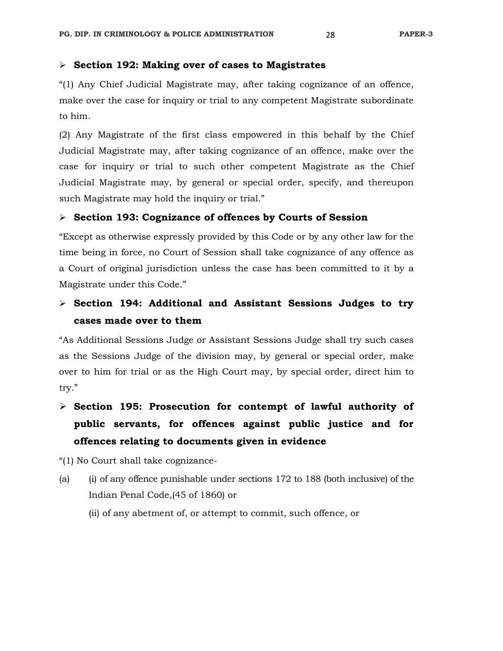#### **Section 192: Making over of cases to Magistrates**

"(1) Any Chief Judicial Magistrate may, after taking cognizance of an offence, make over the case for inquiry or trial to any competent Magistrate subordinate to him.

(2) Any Magistrate of the first class empowered in this behalf by the Chief Judicial Magistrate may, after taking cognizance of an offence, make over the case for inquiry or trial to such other competent Magistrate as the Chief Judicial Magistrate may, by general or special order, specify, and thereupon such Magistrate may hold the inquiry or trial."

#### **Section 193: Cognizance of offences by Courts of Session**

"Except as otherwise expressly provided by this Code or by any other law for the time being in force, no Court of Session shall take cognizance of any offence as a Court of original jurisdiction unless the case has been committed to it by a Magistrate under this Code."

# **Section 194: Additional and Assistant Sessions Judges to try cases made over to them**

"As Additional Sessions Judge or Assistant Sessions Judge shall try such cases as the Sessions Judge of the division may, by general or special order, make over to him for trial or as the High Court may, by special order, direct him to try."

 **Section 195: Prosecution for contempt of lawful authority of public servants, for offences against public justice and for offences relating to documents given in evidence** 

"(1) No Court shall take cognizance-

(a) (i) of any offence punishable under sections 172 to 188 (both inclusive) of the Indian Penal Code,(45 of 1860) or

(ii) of any abetment of, or attempt to commit, such offence, or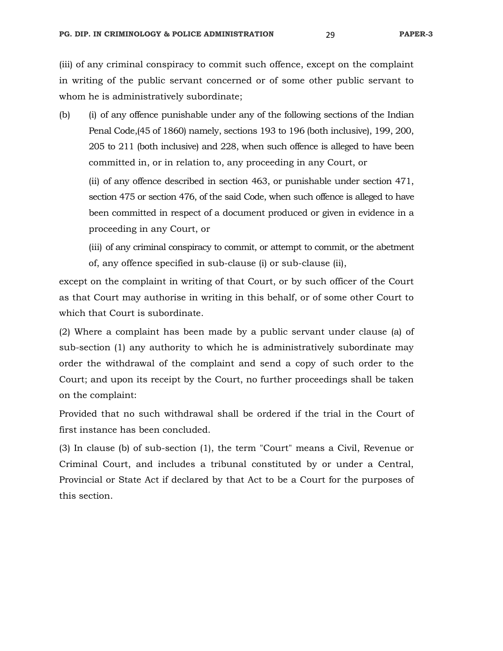(iii) of any criminal conspiracy to commit such offence, except on the complaint in writing of the public servant concerned or of some other public servant to whom he is administratively subordinate;

(b) (i) of any offence punishable under any of the following sections of the Indian Penal Code,(45 of 1860) namely, sections 193 to 196 (both inclusive), 199, 200, 205 to 211 (both inclusive) and 228, when such offence is alleged to have been committed in, or in relation to, any proceeding in any Court, or

 (ii) of any offence described in section 463, or punishable under section 471, section 475 or section 476, of the said Code, when such offence is alleged to have been committed in respect of a document produced or given in evidence in a proceeding in any Court, or

 (iii) of any criminal conspiracy to commit, or attempt to commit, or the abetment of, any offence specified in sub-clause (i) or sub-clause (ii),

except on the complaint in writing of that Court, or by such officer of the Court as that Court may authorise in writing in this behalf, or of some other Court to which that Court is subordinate.

(2) Where a complaint has been made by a public servant under clause (a) of sub-section (1) any authority to which he is administratively subordinate may order the withdrawal of the complaint and send a copy of such order to the Court; and upon its receipt by the Court, no further proceedings shall be taken on the complaint:

Provided that no such withdrawal shall be ordered if the trial in the Court of first instance has been concluded.

(3) In clause (b) of sub-section (1), the term "Court" means a Civil, Revenue or Criminal Court, and includes a tribunal constituted by or under a Central, Provincial or State Act if declared by that Act to be a Court for the purposes of this section.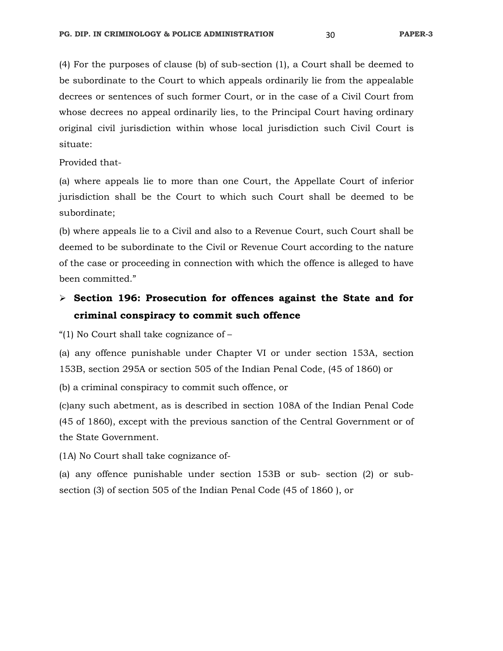(4) For the purposes of clause (b) of sub-section (1), a Court shall be deemed to be subordinate to the Court to which appeals ordinarily lie from the appealable decrees or sentences of such former Court, or in the case of a Civil Court from whose decrees no appeal ordinarily lies, to the Principal Court having ordinary original civil jurisdiction within whose local jurisdiction such Civil Court is situate:

Provided that-

(a) where appeals lie to more than one Court, the Appellate Court of inferior jurisdiction shall be the Court to which such Court shall be deemed to be subordinate;

(b) where appeals lie to a Civil and also to a Revenue Court, such Court shall be deemed to be subordinate to the Civil or Revenue Court according to the nature of the case or proceeding in connection with which the offence is alleged to have been committed."

# **Section 196: Prosecution for offences against the State and for criminal conspiracy to commit such offence**

"(1) No Court shall take cognizance of –

(a) any offence punishable under Chapter VI or under section 153A, section 153B, section 295A or section 505 of the Indian Penal Code, (45 of 1860) or

(b) a criminal conspiracy to commit such offence, or

(c)any such abetment, as is described in section 108A of the Indian Penal Code (45 of 1860), except with the previous sanction of the Central Government or of the State Government.

(1A) No Court shall take cognizance of-

(a) any offence punishable under section 153B or sub- section (2) or subsection (3) of section 505 of the Indian Penal Code (45 of 1860 ), or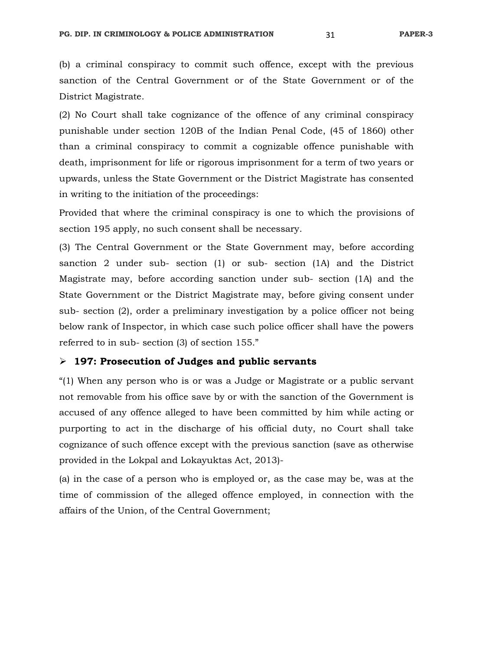(b) a criminal conspiracy to commit such offence, except with the previous sanction of the Central Government or of the State Government or of the District Magistrate.

(2) No Court shall take cognizance of the offence of any criminal conspiracy punishable under section 120B of the Indian Penal Code, (45 of 1860) other than a criminal conspiracy to commit a cognizable offence punishable with death, imprisonment for life or rigorous imprisonment for a term of two years or upwards, unless the State Government or the District Magistrate has consented in writing to the initiation of the proceedings:

Provided that where the criminal conspiracy is one to which the provisions of section 195 apply, no such consent shall be necessary.

(3) The Central Government or the State Government may, before according sanction 2 under sub- section (1) or sub- section (1A) and the District Magistrate may, before according sanction under sub- section (1A) and the State Government or the District Magistrate may, before giving consent under sub- section (2), order a preliminary investigation by a police officer not being below rank of Inspector, in which case such police officer shall have the powers referred to in sub- section (3) of section 155."

# **197: Prosecution of Judges and public servants**

"(1) When any person who is or was a Judge or Magistrate or a public servant not removable from his office save by or with the sanction of the Government is accused of any offence alleged to have been committed by him while acting or purporting to act in the discharge of his official duty, no Court shall take cognizance of such offence except with the previous sanction (save as otherwise provided in the Lokpal and Lokayuktas Act, 2013)-

(a) in the case of a person who is employed or, as the case may be, was at the time of commission of the alleged offence employed, in connection with the affairs of the Union, of the Central Government;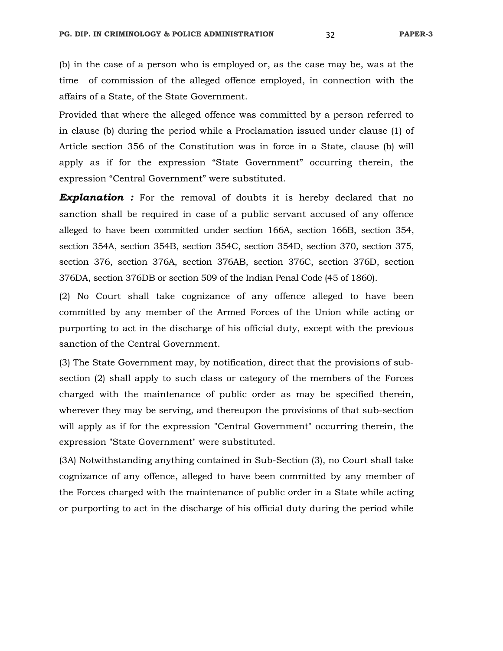(b) in the case of a person who is employed or, as the case may be, was at the time of commission of the alleged offence employed, in connection with the affairs of a State, of the State Government.

Provided that where the alleged offence was committed by a person referred to in clause (b) during the period while a Proclamation issued under clause (1) of Article section 356 of the Constitution was in force in a State, clause (b) will apply as if for the expression "State Government" occurring therein, the expression "Central Government" were substituted.

**Explanation :** For the removal of doubts it is hereby declared that no sanction shall be required in case of a public servant accused of any offence alleged to have been committed under section 166A, section 166B, section 354, section 354A, section 354B, section 354C, section 354D, section 370, section 375, section 376, section 376A, section 376AB, section 376C, section 376D, section 376DA, section 376DB or section 509 of the Indian Penal Code (45 of 1860).

(2) No Court shall take cognizance of any offence alleged to have been committed by any member of the Armed Forces of the Union while acting or purporting to act in the discharge of his official duty, except with the previous sanction of the Central Government.

(3) The State Government may, by notification, direct that the provisions of subsection (2) shall apply to such class or category of the members of the Forces charged with the maintenance of public order as may be specified therein, wherever they may be serving, and thereupon the provisions of that sub-section will apply as if for the expression "Central Government" occurring therein, the expression "State Government" were substituted.

(3A) Notwithstanding anything contained in Sub-Section (3), no Court shall take cognizance of any offence, alleged to have been committed by any member of the Forces charged with the maintenance of public order in a State while acting or purporting to act in the discharge of his official duty during the period while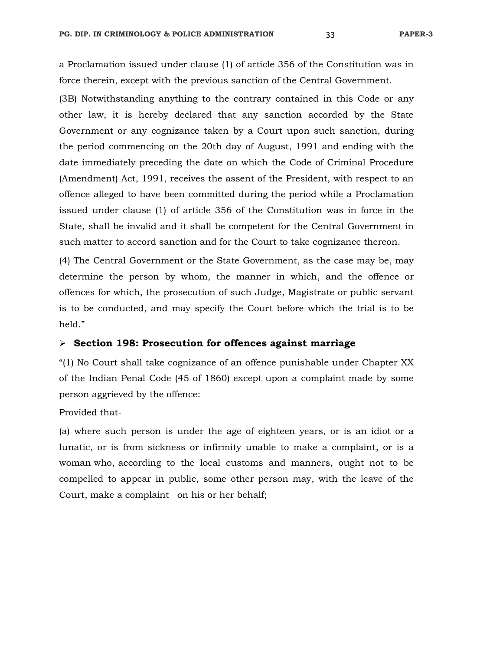a Proclamation issued under clause (1) of article 356 of the Constitution was in force therein, except with the previous sanction of the Central Government.

(3B) Notwithstanding anything to the contrary contained in this Code or any other law, it is hereby declared that any sanction accorded by the State Government or any cognizance taken by a Court upon such sanction, during the period commencing on the 20th day of August, 1991 and ending with the date immediately preceding the date on which the Code of Criminal Procedure (Amendment) Act, 1991, receives the assent of the President, with respect to an offence alleged to have been committed during the period while a Proclamation issued under clause (1) of article 356 of the Constitution was in force in the State, shall be invalid and it shall be competent for the Central Government in such matter to accord sanction and for the Court to take cognizance thereon.

(4) The Central Government or the State Government, as the case may be, may determine the person by whom, the manner in which, and the offence or offences for which, the prosecution of such Judge, Magistrate or public servant is to be conducted, and may specify the Court before which the trial is to be held."

#### **Section 198: Prosecution for offences against marriage**

"(1) No Court shall take cognizance of an offence punishable under Chapter XX of the Indian Penal Code (45 of 1860) except upon a complaint made by some person aggrieved by the offence:

Provided that-

(a) where such person is under the age of eighteen years, or is an idiot or a lunatic, or is from sickness or infirmity unable to make a complaint, or is a woman who, according to the local customs and manners, ought not to be compelled to appear in public, some other person may, with the leave of the Court, make a complaint on his or her behalf;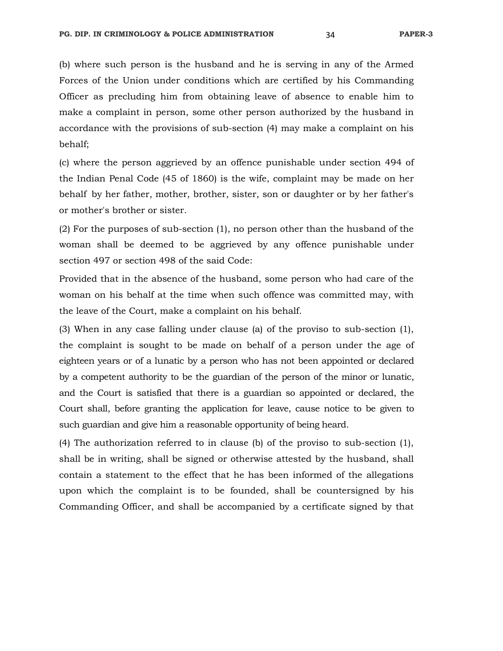(b) where such person is the husband and he is serving in any of the Armed Forces of the Union under conditions which are certified by his Commanding Officer as precluding him from obtaining leave of absence to enable him to make a complaint in person, some other person authorized by the husband in accordance with the provisions of sub-section (4) may make a complaint on his behalf;

(c) where the person aggrieved by an offence punishable under section 494 of the Indian Penal Code (45 of 1860) is the wife, complaint may be made on her behalf by her father, mother, brother, sister, son or daughter or by her father's or mother's brother or sister.

(2) For the purposes of sub-section (1), no person other than the husband of the woman shall be deemed to be aggrieved by any offence punishable under section 497 or section 498 of the said Code:

Provided that in the absence of the husband, some person who had care of the woman on his behalf at the time when such offence was committed may, with the leave of the Court, make a complaint on his behalf.

(3) When in any case falling under clause (a) of the proviso to sub-section (1), the complaint is sought to be made on behalf of a person under the age of eighteen years or of a lunatic by a person who has not been appointed or declared by a competent authority to be the guardian of the person of the minor or lunatic, and the Court is satisfied that there is a guardian so appointed or declared, the Court shall, before granting the application for leave, cause notice to be given to such guardian and give him a reasonable opportunity of being heard.

(4) The authorization referred to in clause (b) of the proviso to sub-section (1), shall be in writing, shall be signed or otherwise attested by the husband, shall contain a statement to the effect that he has been informed of the allegations upon which the complaint is to be founded, shall be countersigned by his Commanding Officer, and shall be accompanied by a certificate signed by that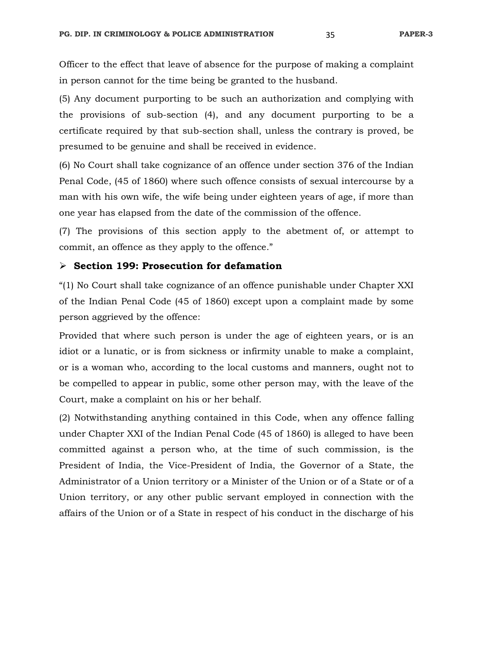Officer to the effect that leave of absence for the purpose of making a complaint in person cannot for the time being be granted to the husband.

(5) Any document purporting to be such an authorization and complying with the provisions of sub-section (4), and any document purporting to be a certificate required by that sub-section shall, unless the contrary is proved, be presumed to be genuine and shall be received in evidence.

(6) No Court shall take cognizance of an offence under section 376 of the Indian Penal Code, (45 of 1860) where such offence consists of sexual intercourse by a man with his own wife, the wife being under eighteen years of age, if more than one year has elapsed from the date of the commission of the offence.

(7) The provisions of this section apply to the abetment of, or attempt to commit, an offence as they apply to the offence."

#### **Section 199: Prosecution for defamation**

"(1) No Court shall take cognizance of an offence punishable under Chapter XXI of the Indian Penal Code (45 of 1860) except upon a complaint made by some person aggrieved by the offence:

Provided that where such person is under the age of eighteen years, or is an idiot or a lunatic, or is from sickness or infirmity unable to make a complaint, or is a woman who, according to the local customs and manners, ought not to be compelled to appear in public, some other person may, with the leave of the Court, make a complaint on his or her behalf.

(2) Notwithstanding anything contained in this Code, when any offence falling under Chapter XXI of the Indian Penal Code (45 of 1860) is alleged to have been committed against a person who, at the time of such commission, is the President of India, the Vice-President of India, the Governor of a State, the Administrator of a Union territory or a Minister of the Union or of a State or of a Union territory, or any other public servant employed in connection with the affairs of the Union or of a State in respect of his conduct in the discharge of his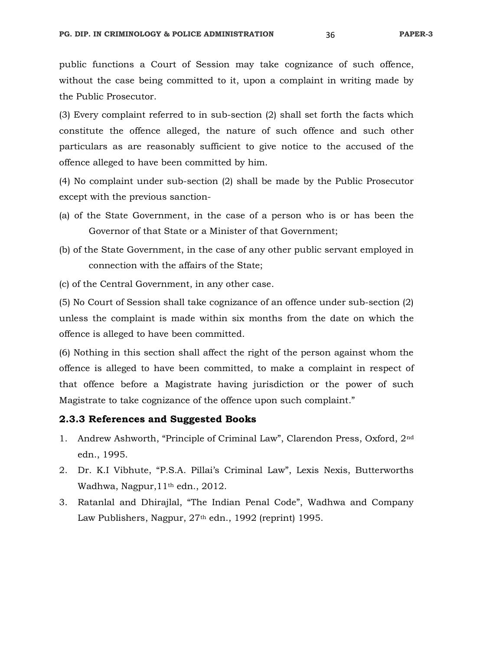public functions a Court of Session may take cognizance of such offence, without the case being committed to it, upon a complaint in writing made by the Public Prosecutor.

(3) Every complaint referred to in sub-section (2) shall set forth the facts which constitute the offence alleged, the nature of such offence and such other particulars as are reasonably sufficient to give notice to the accused of the offence alleged to have been committed by him.

(4) No complaint under sub-section (2) shall be made by the Public Prosecutor except with the previous sanction-

- (a) of the State Government, in the case of a person who is or has been the Governor of that State or a Minister of that Government;
- (b) of the State Government, in the case of any other public servant employed in connection with the affairs of the State;
- (c) of the Central Government, in any other case.

(5) No Court of Session shall take cognizance of an offence under sub-section (2) unless the complaint is made within six months from the date on which the offence is alleged to have been committed.

(6) Nothing in this section shall affect the right of the person against whom the offence is alleged to have been committed, to make a complaint in respect of that offence before a Magistrate having jurisdiction or the power of such Magistrate to take cognizance of the offence upon such complaint."

## **2.3.3 References and Suggested Books**

- 1. Andrew Ashworth, "Principle of Criminal Law", Clarendon Press, Oxford, 2nd edn., 1995.
- 2. Dr. K.I Vibhute, "P.S.A. Pillai's Criminal Law", Lexis Nexis, Butterworths Wadhwa, Nagpur,11th edn., 2012.
- 3. Ratanlal and Dhirajlal, "The Indian Penal Code", Wadhwa and Company Law Publishers, Nagpur, 27<sup>th</sup> edn., 1992 (reprint) 1995.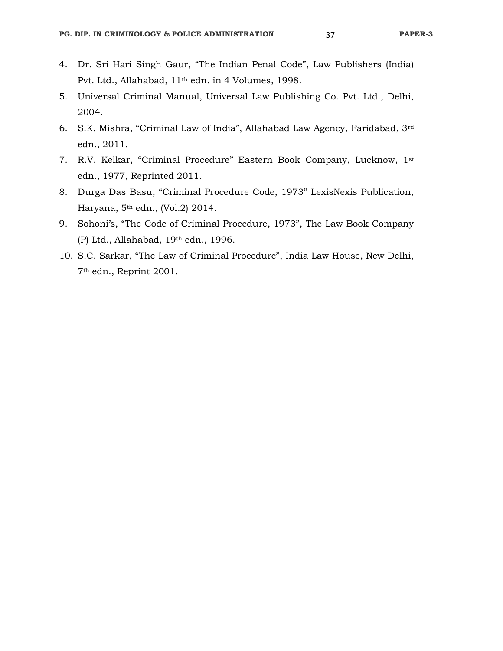- 4. Dr. Sri Hari Singh Gaur, "The Indian Penal Code", Law Publishers (India) Pvt. Ltd., Allahabad, 11th edn. in 4 Volumes, 1998.
- 5. Universal Criminal Manual, Universal Law Publishing Co. Pvt. Ltd., Delhi, 2004.
- 6. S.K. Mishra, "Criminal Law of India", Allahabad Law Agency, Faridabad, 3rd edn., 2011.
- 7. R.V. Kelkar, "Criminal Procedure" Eastern Book Company, Lucknow, 1st edn., 1977, Reprinted 2011.
- 8. Durga Das Basu, "Criminal Procedure Code, 1973" LexisNexis Publication, Haryana, 5th edn., (Vol.2) 2014.
- 9. Sohoni's, "The Code of Criminal Procedure, 1973", The Law Book Company (P) Ltd., Allahabad, 19th edn., 1996.
- 10. S.C. Sarkar, "The Law of Criminal Procedure", India Law House, New Delhi, 7th edn., Reprint 2001.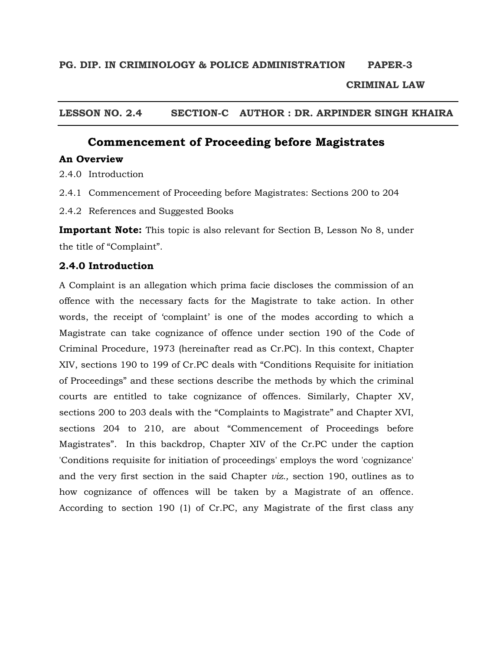## **CRIMINAL LAW**

**LESSON NO. 2.4 SECTION-C AUTHOR : DR. ARPINDER SINGH KHAIRA** 

# **Commencement of Proceeding before Magistrates**

## **An Overview**

2.4.0 Introduction

- 2.4.1 Commencement of Proceeding before Magistrates: Sections 200 to 204
- 2.4.2 References and Suggested Books

**Important Note:** This topic is also relevant for Section B, Lesson No 8, under the title of "Complaint".

## **2.4.0 Introduction**

A Complaint is an allegation which prima facie discloses the commission of an offence with the necessary facts for the Magistrate to take action. In other words, the receipt of 'complaint' is one of the modes according to which a Magistrate can take cognizance of offence under section 190 of the Code of Criminal Procedure, 1973 (hereinafter read as Cr.PC). In this context, Chapter XIV, sections 190 to 199 of Cr.PC deals with "Conditions Requisite for initiation of Proceedings" and these sections describe the methods by which the criminal courts are entitled to take cognizance of offences. Similarly, Chapter XV, sections 200 to 203 deals with the "Complaints to Magistrate" and Chapter XVI, sections 204 to 210, are about "Commencement of Proceedings before Magistrates". In this backdrop, Chapter XIV of the Cr.PC under the caption 'Conditions requisite for initiation of proceedings' employs the word 'cognizance' and the very first section in the said Chapter *viz.,* section 190, outlines as to how cognizance of offences will be taken by a Magistrate of an offence. According to section 190 (1) of Cr.PC, any Magistrate of the first class any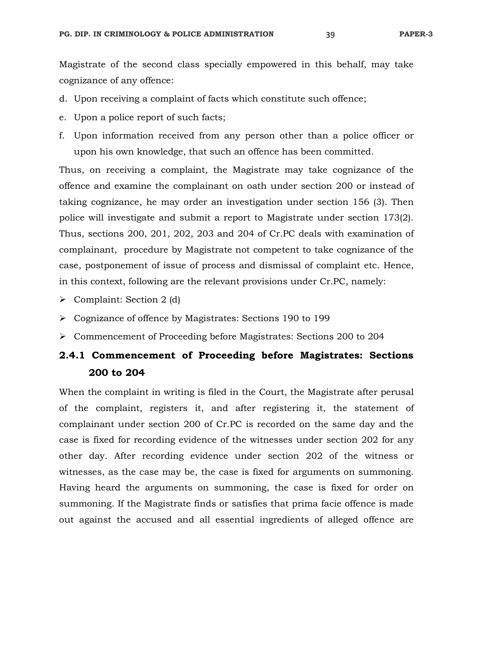Magistrate of the second class specially empowered in this behalf, may take cognizance of any offence:

- d. Upon receiving a complaint of facts which constitute such offence;
- e. Upon a police report of such facts;
- f. Upon information received from any person other than a police officer or upon his own knowledge, that such an offence has been committed.

Thus, on receiving a complaint, the Magistrate may take cognizance of the offence and examine the complainant on oath under section 200 or instead of taking cognizance, he may order an investigation under section 156 (3). Then police will investigate and submit a report to Magistrate under section 173(2). Thus, sections 200, 201, 202, 203 and 204 of Cr.PC deals with examination of complainant, procedure by Magistrate not competent to take cognizance of the case, postponement of issue of process and dismissal of complaint etc. Hence, in this context, following are the relevant provisions under Cr.PC, namely:

- $\triangleright$  Complaint: Section 2 (d)
- Cognizance of offence by Magistrates: Sections 190 to 199
- Commencement of Proceeding before Magistrates: Sections 200 to 204

## **2.4.1 Commencement of Proceeding before Magistrates: Sections 200 to 204**

When the complaint in writing is filed in the Court, the Magistrate after perusal of the complaint, registers it, and after registering it, the statement of complainant under section 200 of Cr.PC is recorded on the same day and the case is fixed for recording evidence of the witnesses under section 202 for any other day. After recording evidence under section 202 of the witness or witnesses, as the case may be, the case is fixed for arguments on summoning. Having heard the arguments on summoning, the case is fixed for order on summoning. If the Magistrate finds or satisfies that prima facie offence is made out against the accused and all essential ingredients of alleged offence are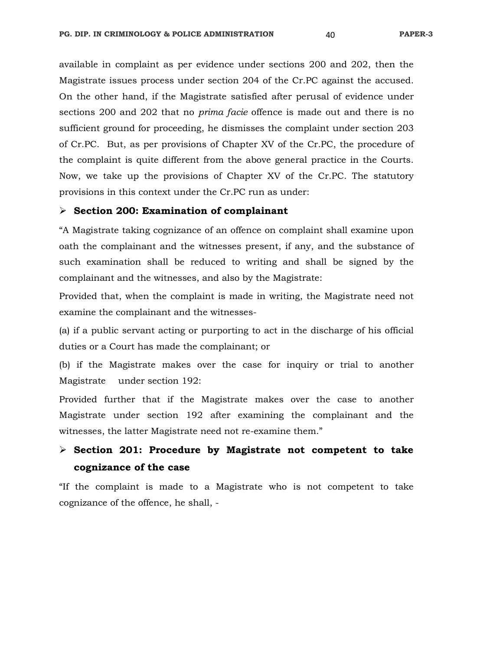available in complaint as per evidence under sections 200 and 202, then the Magistrate issues process under section 204 of the Cr.PC against the accused. On the other hand, if the Magistrate satisfied after perusal of evidence under sections 200 and 202 that no *prima facie* offence is made out and there is no sufficient ground for proceeding, he dismisses the complaint under section 203 of Cr.PC. But, as per provisions of Chapter XV of the Cr.PC, the procedure of the complaint is quite different from the above general practice in the Courts. Now, we take up the provisions of Chapter XV of the Cr.PC. The statutory provisions in this context under the Cr.PC run as under:

#### **Section 200: Examination of complainant**

"A Magistrate taking cognizance of an offence on complaint shall examine upon oath the complainant and the witnesses present, if any, and the substance of such examination shall be reduced to writing and shall be signed by the complainant and the witnesses, and also by the Magistrate:

Provided that, when the complaint is made in writing, the Magistrate need not examine the complainant and the witnesses-

(a) if a public servant acting or purporting to act in the discharge of his official duties or a Court has made the complainant; or

(b) if the Magistrate makes over the case for inquiry or trial to another Magistrate under section 192:

Provided further that if the Magistrate makes over the case to another Magistrate under section 192 after examining the complainant and the witnesses, the latter Magistrate need not re-examine them."

# **Section 201: Procedure by Magistrate not competent to take cognizance of the case**

"If the complaint is made to a Magistrate who is not competent to take cognizance of the offence, he shall, -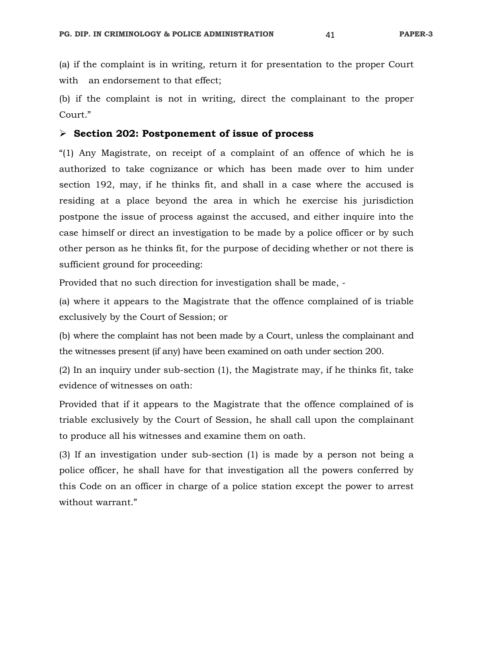(a) if the complaint is in writing, return it for presentation to the proper Court with an endorsement to that effect;

(b) if the complaint is not in writing, direct the complainant to the proper Court."

### **Section 202: Postponement of issue of process**

"(1) Any Magistrate, on receipt of a complaint of an offence of which he is authorized to take cognizance or which has been made over to him under section 192, may, if he thinks fit, and shall in a case where the accused is residing at a place beyond the area in which he exercise his jurisdiction postpone the issue of process against the accused, and either inquire into the case himself or direct an investigation to be made by a police officer or by such other person as he thinks fit, for the purpose of deciding whether or not there is sufficient ground for proceeding:

Provided that no such direction for investigation shall be made, -

(a) where it appears to the Magistrate that the offence complained of is triable exclusively by the Court of Session; or

(b) where the complaint has not been made by a Court, unless the complainant and the witnesses present (if any) have been examined on oath under section 200.

(2) In an inquiry under sub-section (1), the Magistrate may, if he thinks fit, take evidence of witnesses on oath:

Provided that if it appears to the Magistrate that the offence complained of is triable exclusively by the Court of Session, he shall call upon the complainant to produce all his witnesses and examine them on oath.

(3) If an investigation under sub-section (1) is made by a person not being a police officer, he shall have for that investigation all the powers conferred by this Code on an officer in charge of a police station except the power to arrest without warrant."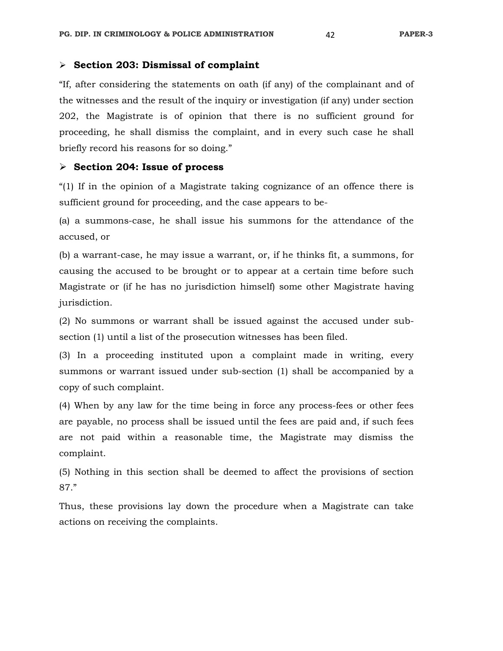## **Section 203: Dismissal of complaint**

"If, after considering the statements on oath (if any) of the complainant and of the witnesses and the result of the inquiry or investigation (if any) under section 202, the Magistrate is of opinion that there is no sufficient ground for proceeding, he shall dismiss the complaint, and in every such case he shall briefly record his reasons for so doing."

### **Section 204: Issue of process**

"(1) If in the opinion of a Magistrate taking cognizance of an offence there is sufficient ground for proceeding, and the case appears to be-

(a) a summons-case, he shall issue his summons for the attendance of the accused, or

(b) a warrant-case, he may issue a warrant, or, if he thinks fit, a summons, for causing the accused to be brought or to appear at a certain time before such Magistrate or (if he has no jurisdiction himself) some other Magistrate having jurisdiction.

(2) No summons or warrant shall be issued against the accused under subsection (1) until a list of the prosecution witnesses has been filed.

(3) In a proceeding instituted upon a complaint made in writing, every summons or warrant issued under sub-section (1) shall be accompanied by a copy of such complaint.

(4) When by any law for the time being in force any process-fees or other fees are payable, no process shall be issued until the fees are paid and, if such fees are not paid within a reasonable time, the Magistrate may dismiss the complaint.

(5) Nothing in this section shall be deemed to affect the provisions of section 87."

Thus, these provisions lay down the procedure when a Magistrate can take actions on receiving the complaints.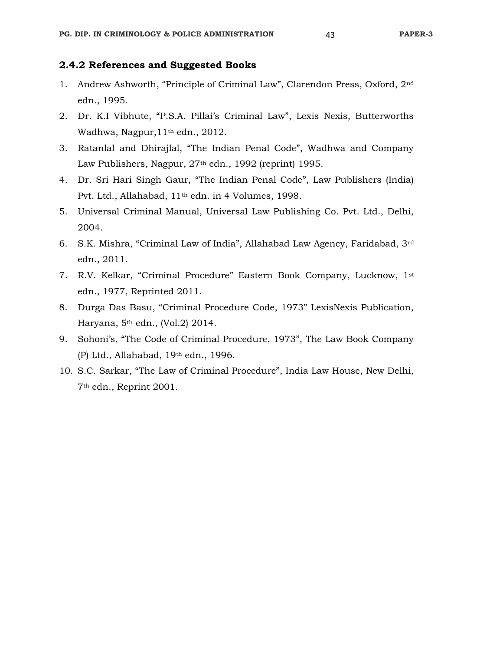## **2.4.2 References and Suggested Books**

- 1. Andrew Ashworth, "Principle of Criminal Law", Clarendon Press, Oxford, 2nd edn., 1995.
- 2. Dr. K.I Vibhute, "P.S.A. Pillai's Criminal Law", Lexis Nexis, Butterworths Wadhwa, Nagpur,11th edn., 2012.
- 3. Ratanlal and Dhirajlal, "The Indian Penal Code", Wadhwa and Company Law Publishers, Nagpur, 27<sup>th</sup> edn., 1992 (reprint) 1995.
- 4. Dr. Sri Hari Singh Gaur, "The Indian Penal Code", Law Publishers (India) Pvt. Ltd., Allahabad, 11th edn. in 4 Volumes, 1998.
- 5. Universal Criminal Manual, Universal Law Publishing Co. Pvt. Ltd., Delhi, 2004.
- 6. S.K. Mishra, "Criminal Law of India", Allahabad Law Agency, Faridabad, 3rd edn., 2011.
- 7. R.V. Kelkar, "Criminal Procedure" Eastern Book Company, Lucknow, 1st edn., 1977, Reprinted 2011.
- 8. Durga Das Basu, "Criminal Procedure Code, 1973" LexisNexis Publication, Haryana, 5th edn., (Vol.2) 2014.
- 9. Sohoni's, "The Code of Criminal Procedure, 1973", The Law Book Company (P) Ltd., Allahabad, 19th edn., 1996.
- 10. S.C. Sarkar, "The Law of Criminal Procedure", India Law House, New Delhi, 7th edn., Reprint 2001.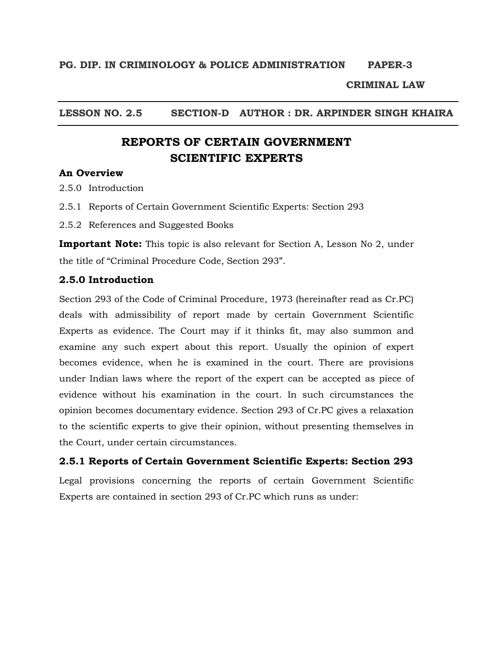## **CRIMINAL LAW**

## **LESSON NO. 2.5 SECTION-D AUTHOR : DR. ARPINDER SINGH KHAIRA**

# **REPORTS OF CERTAIN GOVERNMENT SCIENTIFIC EXPERTS**

## **An Overview**

2.5.0 Introduction

2.5.1 Reports of Certain Government Scientific Experts: Section 293

2.5.2 References and Suggested Books

**Important Note:** This topic is also relevant for Section A, Lesson No 2, under the title of "Criminal Procedure Code, Section 293".

## **2.5.0 Introduction**

Section 293 of the Code of Criminal Procedure, 1973 (hereinafter read as Cr.PC) deals with admissibility of report made by certain Government Scientific Experts as evidence. The Court may if it thinks fit, may also summon and examine any such expert about this report. Usually the opinion of expert becomes evidence, when he is examined in the court. There are provisions under Indian laws where the report of the expert can be accepted as piece of evidence without his examination in the court. In such circumstances the opinion becomes documentary evidence. Section 293 of Cr.PC gives a relaxation to the scientific experts to give their opinion, without presenting themselves in the Court, under certain circumstances.

**2.5.1 Reports of Certain Government Scientific Experts: Section 293**

Legal provisions concerning the reports of certain Government Scientific Experts are contained in section 293 of Cr.PC which runs as under: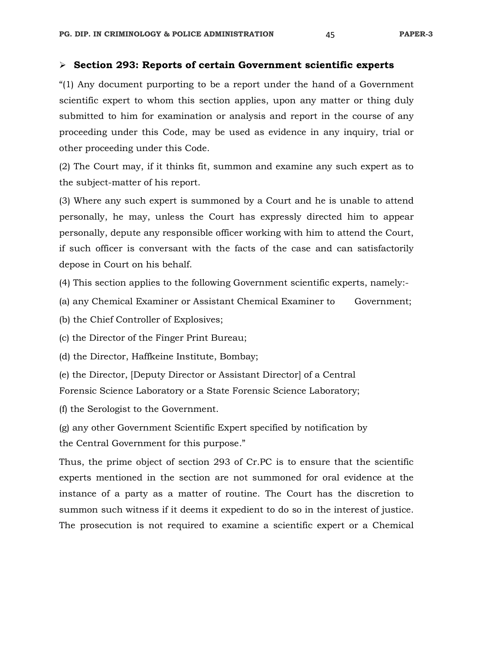### **Section 293: Reports of certain Government scientific experts**

"(1) Any document purporting to be a report under the hand of a Government scientific expert to whom this section applies, upon any matter or thing duly submitted to him for examination or analysis and report in the course of any proceeding under this Code, may be used as evidence in any inquiry, trial or other proceeding under this Code.

(2) The Court may, if it thinks fit, summon and examine any such expert as to the subject-matter of his report.

(3) Where any such expert is summoned by a Court and he is unable to attend personally, he may, unless the Court has expressly directed him to appear personally, depute any responsible officer working with him to attend the Court, if such officer is conversant with the facts of the case and can satisfactorily depose in Court on his behalf.

(4) This section applies to the following Government scientific experts, namely:-

(a) any Chemical Examiner or Assistant Chemical Examiner to Government;

(b) the Chief Controller of Explosives;

(c) the Director of the Finger Print Bureau;

(d) the Director, Haffkeine Institute, Bombay;

(e) the Director, [Deputy Director or Assistant Director] of a Central

Forensic Science Laboratory or a State Forensic Science Laboratory;

(f) the Serologist to the Government.

(g) any other Government Scientific Expert specified by notification by the Central Government for this purpose."

Thus, the prime object of section 293 of Cr.PC is to ensure that the scientific experts mentioned in the section are not summoned for oral evidence at the instance of a party as a matter of routine. The Court has the discretion to summon such witness if it deems it expedient to do so in the interest of justice. The prosecution is not required to examine a scientific expert or a Chemical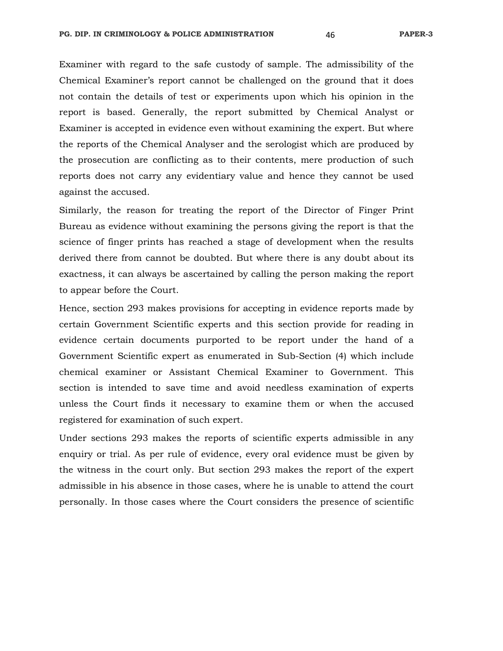Examiner with regard to the safe custody of sample. The admissibility of the Chemical Examiner's report cannot be challenged on the ground that it does not contain the details of test or experiments upon which his opinion in the report is based. Generally, the report submitted by Chemical Analyst or Examiner is accepted in evidence even without examining the expert. But where the reports of the Chemical Analyser and the serologist which are produced by the prosecution are conflicting as to their contents, mere production of such reports does not carry any evidentiary value and hence they cannot be used against the accused.

Similarly, the reason for treating the report of the Director of Finger Print Bureau as evidence without examining the persons giving the report is that the science of finger prints has reached a stage of development when the results derived there from cannot be doubted. But where there is any doubt about its exactness, it can always be ascertained by calling the person making the report to appear before the Court.

Hence, section 293 makes provisions for accepting in evidence reports made by certain Government Scientific experts and this section provide for reading in evidence certain documents purported to be report under the hand of a Government Scientific expert as enumerated in Sub-Section (4) which include chemical examiner or Assistant Chemical Examiner to Government. This section is intended to save time and avoid needless examination of experts unless the Court finds it necessary to examine them or when the accused registered for examination of such expert.

Under sections 293 makes the reports of scientific experts admissible in any enquiry or trial. As per rule of evidence, every oral evidence must be given by the witness in the court only. But section 293 makes the report of the expert admissible in his absence in those cases, where he is unable to attend the court personally. In those cases where the Court considers the presence of scientific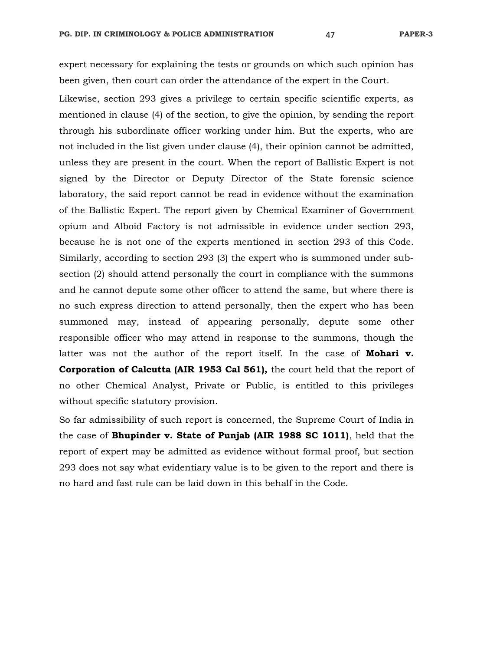expert necessary for explaining the tests or grounds on which such opinion has been given, then court can order the attendance of the expert in the Court.

Likewise, section 293 gives a privilege to certain specific scientific experts, as mentioned in clause (4) of the section, to give the opinion, by sending the report through his subordinate officer working under him. But the experts, who are not included in the list given under clause (4), their opinion cannot be admitted, unless they are present in the court. When the report of Ballistic Expert is not signed by the Director or Deputy Director of the State forensic science laboratory, the said report cannot be read in evidence without the examination of the Ballistic Expert. The report given by Chemical Examiner of Government opium and Alboid Factory is not admissible in evidence under section 293, because he is not one of the experts mentioned in section 293 of this Code. Similarly, according to section 293 (3) the expert who is summoned under subsection (2) should attend personally the court in compliance with the summons and he cannot depute some other officer to attend the same, but where there is no such express direction to attend personally, then the expert who has been summoned may, instead of appearing personally, depute some other responsible officer who may attend in response to the summons, though the latter was not the author of the report itself. In the case of **Mohari v. Corporation of Calcutta (AIR 1953 Cal 561),** the court held that the report of no other Chemical Analyst, Private or Public, is entitled to this privileges without specific statutory provision.

So far admissibility of such report is concerned, the Supreme Court of India in the case of **Bhupinder v. State of Punjab (AIR 1988 SC 1011)**, held that the report of expert may be admitted as evidence without formal proof, but section 293 does not say what evidentiary value is to be given to the report and there is no hard and fast rule can be laid down in this behalf in the Code.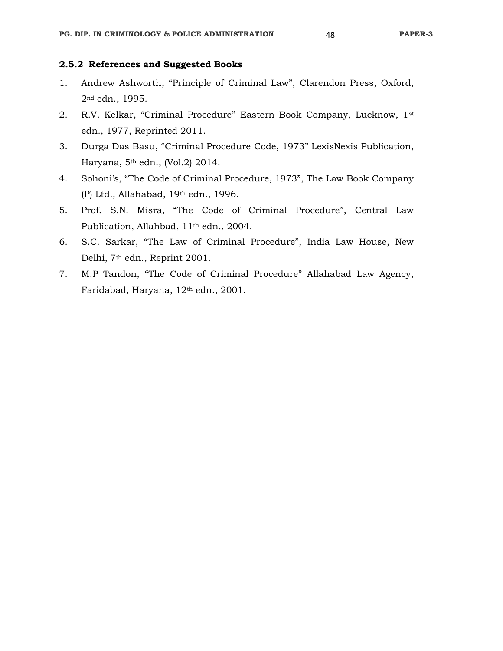## **2.5.2 References and Suggested Books**

- 1. Andrew Ashworth, "Principle of Criminal Law", Clarendon Press, Oxford, 2nd edn., 1995.
- 2. R.V. Kelkar, "Criminal Procedure" Eastern Book Company, Lucknow, 1st edn., 1977, Reprinted 2011.
- 3. Durga Das Basu, "Criminal Procedure Code, 1973" LexisNexis Publication, Haryana, 5th edn., (Vol.2) 2014.
- 4. Sohoni's, "The Code of Criminal Procedure, 1973", The Law Book Company (P) Ltd., Allahabad, 19th edn., 1996.
- 5. Prof. S.N. Misra, "The Code of Criminal Procedure", Central Law Publication, Allahbad, 11th edn., 2004.
- 6. S.C. Sarkar, "The Law of Criminal Procedure", India Law House, New Delhi, 7th edn., Reprint 2001.
- 7. M.P Tandon, "The Code of Criminal Procedure" Allahabad Law Agency, Faridabad, Haryana, 12th edn., 2001.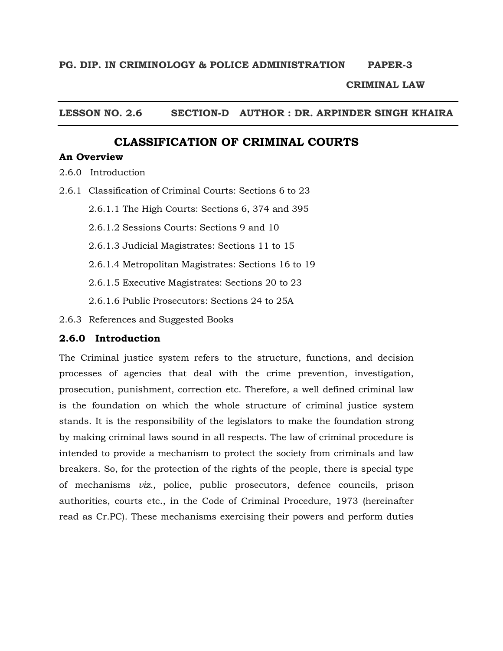## **CRIMINAL LAW**

## **LESSON NO. 2.6 SECTION-D AUTHOR : DR. ARPINDER SINGH KHAIRA**

## **CLASSIFICATION OF CRIMINAL COURTS**

## **An Overview**

- 2.6.0 Introduction
- 2.6.1 Classification of Criminal Courts: Sections 6 to 23
	- 2.6.1.1 The High Courts: Sections 6, 374 and 395
	- 2.6.1.2 Sessions Courts: Sections 9 and 10
	- 2.6.1.3 Judicial Magistrates: Sections 11 to 15
	- 2.6.1.4 Metropolitan Magistrates: Sections 16 to 19
	- 2.6.1.5 Executive Magistrates: Sections 20 to 23
	- 2.6.1.6 Public Prosecutors: Sections 24 to 25A
- 2.6.3 References and Suggested Books

## **2.6.0 Introduction**

The Criminal justice system refers to the structure, functions, and decision processes of agencies that deal with the crime prevention, investigation, prosecution, punishment, correction etc. Therefore, a well defined criminal law is the foundation on which the whole structure of criminal justice system stands. It is the responsibility of the legislators to make the foundation strong by making criminal laws sound in all respects. The law of criminal procedure is intended to provide a mechanism to protect the society from criminals and law breakers. So, for the protection of the rights of the people, there is special type of mechanisms *viz.,* police, public prosecutors, defence councils, prison authorities, courts etc., in the Code of Criminal Procedure, 1973 (hereinafter read as Cr.PC). These mechanisms exercising their powers and perform duties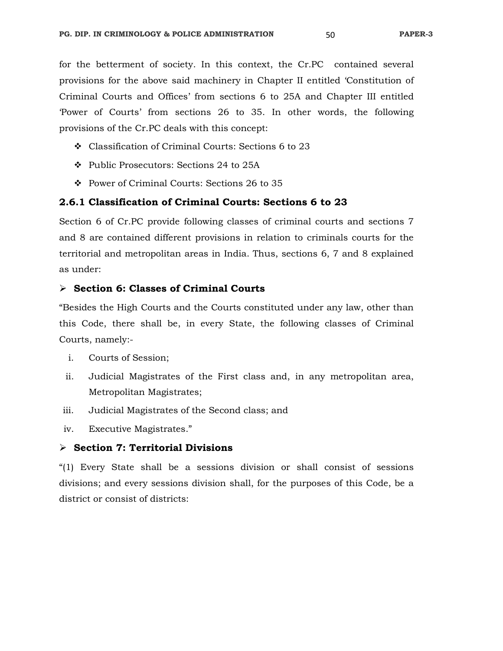for the betterment of society. In this context, the Cr.PC contained several provisions for the above said machinery in Chapter II entitled 'Constitution of Criminal Courts and Offices' from sections 6 to 25A and Chapter III entitled 'Power of Courts' from sections 26 to 35. In other words, the following provisions of the Cr.PC deals with this concept:

- Classification of Criminal Courts: Sections 6 to 23
- Public Prosecutors: Sections 24 to 25A
- Power of Criminal Courts: Sections 26 to 35

## **2.6.1 Classification of Criminal Courts: Sections 6 to 23**

Section 6 of Cr.PC provide following classes of criminal courts and sections 7 and 8 are contained different provisions in relation to criminals courts for the territorial and metropolitan areas in India. Thus, sections 6, 7 and 8 explained as under:

#### **Section 6: Classes of Criminal Courts**

"Besides the High Courts and the Courts constituted under any law, other than this Code, there shall be, in every State, the following classes of Criminal Courts, namely:-

- i. Courts of Session;
- ii. Judicial Magistrates of the First class and, in any metropolitan area, Metropolitan Magistrates;
- iii. Judicial Magistrates of the Second class; and
- iv. Executive Magistrates."

## **Section 7: Territorial Divisions**

"(1) Every State shall be a sessions division or shall consist of sessions divisions; and every sessions division shall, for the purposes of this Code, be a district or consist of districts: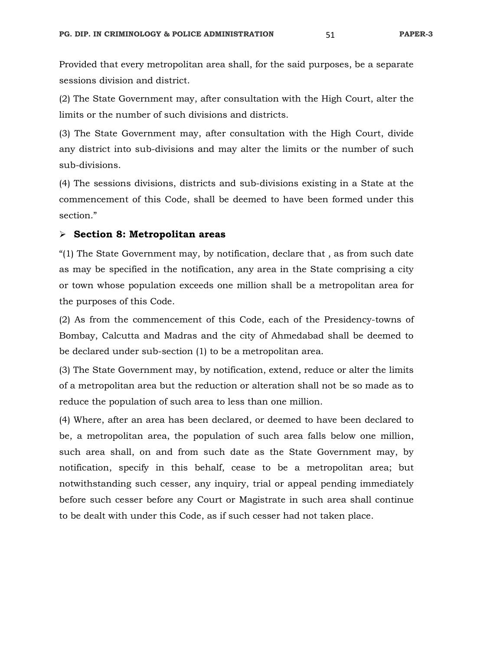Provided that every metropolitan area shall, for the said purposes, be a separate sessions division and district.

(2) The State Government may, after consultation with the High Court, alter the limits or the number of such divisions and districts.

(3) The State Government may, after consultation with the High Court, divide any district into sub-divisions and may alter the limits or the number of such sub-divisions.

(4) The sessions divisions, districts and sub-divisions existing in a State at the commencement of this Code, shall be deemed to have been formed under this section."

#### **Section 8: Metropolitan areas**

"(1) The State Government may, by notification, declare that , as from such date as may be specified in the notification, any area in the State comprising a city or town whose population exceeds one million shall be a metropolitan area for the purposes of this Code.

(2) As from the commencement of this Code, each of the Presidency-towns of Bombay, Calcutta and Madras and the city of Ahmedabad shall be deemed to be declared under sub-section (1) to be a metropolitan area.

(3) The State Government may, by notification, extend, reduce or alter the limits of a metropolitan area but the reduction or alteration shall not be so made as to reduce the population of such area to less than one million.

(4) Where, after an area has been declared, or deemed to have been declared to be, a metropolitan area, the population of such area falls below one million, such area shall, on and from such date as the State Government may, by notification, specify in this behalf, cease to be a metropolitan area; but notwithstanding such cesser, any inquiry, trial or appeal pending immediately before such cesser before any Court or Magistrate in such area shall continue to be dealt with under this Code, as if such cesser had not taken place.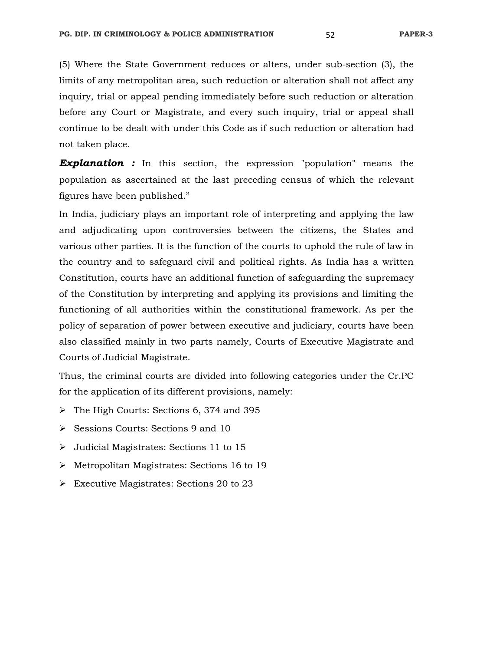(5) Where the State Government reduces or alters, under sub-section (3), the limits of any metropolitan area, such reduction or alteration shall not affect any inquiry, trial or appeal pending immediately before such reduction or alteration before any Court or Magistrate, and every such inquiry, trial or appeal shall continue to be dealt with under this Code as if such reduction or alteration had not taken place.

**Explanation :** In this section, the expression "population" means the population as ascertained at the last preceding census of which the relevant figures have been published."

In India, judiciary plays an important role of interpreting and applying the law and adjudicating upon controversies between the citizens, the States and various other parties. It is the function of the courts to uphold the rule of law in the country and to safeguard civil and political rights. As India has a written Constitution, courts have an additional function of safeguarding the supremacy of the Constitution by interpreting and applying its provisions and limiting the functioning of all authorities within the constitutional framework. As per the policy of separation of power between executive and judiciary, courts have been also classified mainly in two parts namely, Courts of Executive Magistrate and Courts of Judicial Magistrate.

Thus, the criminal courts are divided into following categories under the Cr.PC for the application of its different provisions, namely:

- The High Courts: Sections 6, 374 and 395
- Sessions Courts: Sections 9 and 10
- Judicial Magistrates: Sections 11 to 15
- Metropolitan Magistrates: Sections 16 to 19
- Executive Magistrates: Sections 20 to 23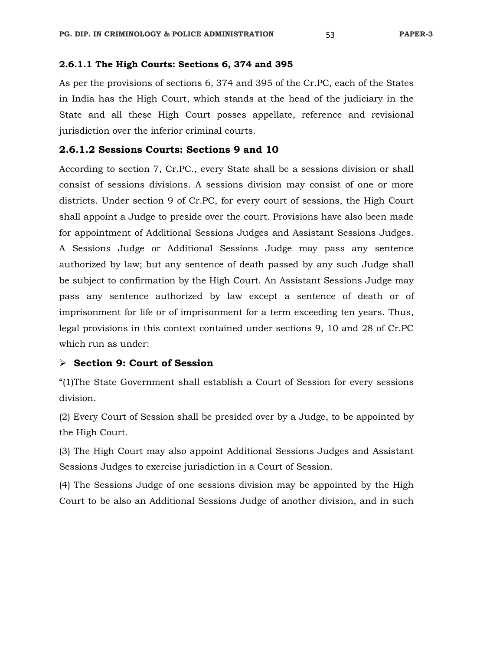## **2.6.1.1 The High Courts: Sections 6, 374 and 395**

As per the provisions of sections 6, 374 and 395 of the Cr.PC, each of the States in India has the High Court, which stands at the head of the judiciary in the State and all these High Court posses appellate, reference and revisional jurisdiction over the inferior criminal courts.

## **2.6.1.2 Sessions Courts: Sections 9 and 10**

According to section 7, Cr.PC., every State shall be a sessions division or shall consist of sessions divisions. A sessions division may consist of one or more districts. Under section 9 of Cr.PC, for every court of sessions, the High Court shall appoint a Judge to preside over the court. Provisions have also been made for appointment of Additional Sessions Judges and Assistant Sessions Judges. A Sessions Judge or Additional Sessions Judge may pass any sentence authorized by law; but any sentence of death passed by any such Judge shall be subject to confirmation by the High Court. An Assistant Sessions Judge may pass any sentence authorized by law except a sentence of death or of imprisonment for life or of imprisonment for a term exceeding ten years. Thus, legal provisions in this context contained under sections 9, 10 and 28 of Cr.PC which run as under:

## **Section 9: Court of Session**

"(1)The State Government shall establish a Court of Session for every sessions division.

(2) Every Court of Session shall be presided over by a Judge, to be appointed by the High Court.

(3) The High Court may also appoint Additional Sessions Judges and Assistant Sessions Judges to exercise jurisdiction in a Court of Session.

(4) The Sessions Judge of one sessions division may be appointed by the High Court to be also an Additional Sessions Judge of another division, and in such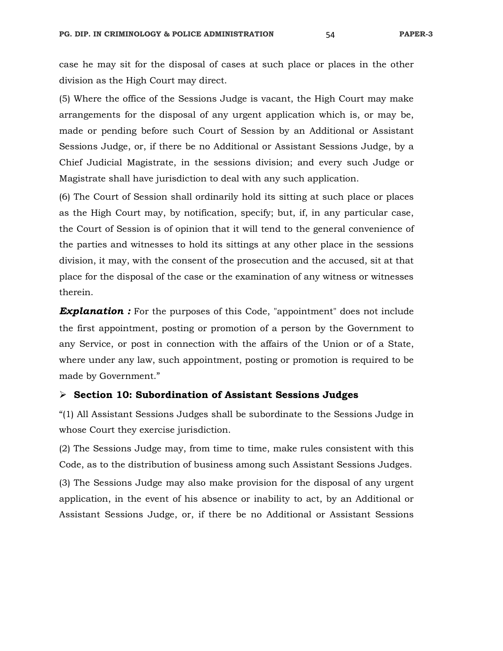case he may sit for the disposal of cases at such place or places in the other division as the High Court may direct.

(5) Where the office of the Sessions Judge is vacant, the High Court may make arrangements for the disposal of any urgent application which is, or may be, made or pending before such Court of Session by an Additional or Assistant Sessions Judge, or, if there be no Additional or Assistant Sessions Judge, by a Chief Judicial Magistrate, in the sessions division; and every such Judge or Magistrate shall have jurisdiction to deal with any such application.

(6) The Court of Session shall ordinarily hold its sitting at such place or places as the High Court may, by notification, specify; but, if, in any particular case, the Court of Session is of opinion that it will tend to the general convenience of the parties and witnesses to hold its sittings at any other place in the sessions division, it may, with the consent of the prosecution and the accused, sit at that place for the disposal of the case or the examination of any witness or witnesses therein.

**Explanation :** For the purposes of this Code, "appointment" does not include the first appointment, posting or promotion of a person by the Government to any Service, or post in connection with the affairs of the Union or of a State, where under any law, such appointment, posting or promotion is required to be made by Government."

### **Section 10: Subordination of Assistant Sessions Judges**

"(1) All Assistant Sessions Judges shall be subordinate to the Sessions Judge in whose Court they exercise jurisdiction.

(2) The Sessions Judge may, from time to time, make rules consistent with this Code, as to the distribution of business among such Assistant Sessions Judges.

(3) The Sessions Judge may also make provision for the disposal of any urgent application, in the event of his absence or inability to act, by an Additional or Assistant Sessions Judge, or, if there be no Additional or Assistant Sessions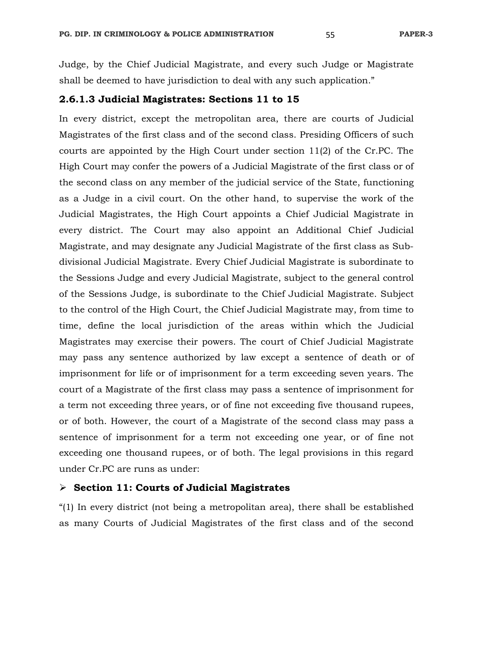Judge, by the Chief Judicial Magistrate, and every such Judge or Magistrate shall be deemed to have jurisdiction to deal with any such application."

## **2.6.1.3 Judicial Magistrates: Sections 11 to 15**

In every district, except the metropolitan area, there are courts of Judicial Magistrates of the first class and of the second class. Presiding Officers of such courts are appointed by the High Court under section  $11(2)$  of the Cr.PC. The High Court may confer the powers of a Judicial Magistrate of the first class or of the second class on any member of the judicial service of the State, functioning as a Judge in a civil court. On the other hand, to supervise the work of the Judicial Magistrates, the High Court appoints a Chief Judicial Magistrate in every district. The Court may also appoint an Additional Chief Judicial Magistrate, and may designate any Judicial Magistrate of the first class as Subdivisional Judicial Magistrate. Every Chief Judicial Magistrate is subordinate to the Sessions Judge and every Judicial Magistrate, subject to the general control of the Sessions Judge, is subordinate to the Chief Judicial Magistrate. Subject to the control of the High Court, the Chief Judicial Magistrate may, from time to time, define the local jurisdiction of the areas within which the Judicial Magistrates may exercise their powers. The court of Chief Judicial Magistrate may pass any sentence authorized by law except a sentence of death or of imprisonment for life or of imprisonment for a term exceeding seven years. The court of a Magistrate of the first class may pass a sentence of imprisonment for a term not exceeding three years, or of fine not exceeding five thousand rupees, or of both. However, the court of a Magistrate of the second class may pass a sentence of imprisonment for a term not exceeding one year, or of fine not exceeding one thousand rupees, or of both. The legal provisions in this regard under Cr.PC are runs as under:

## **Section 11: Courts of Judicial Magistrates**

"(1) In every district (not being a metropolitan area), there shall be established as many Courts of Judicial Magistrates of the first class and of the second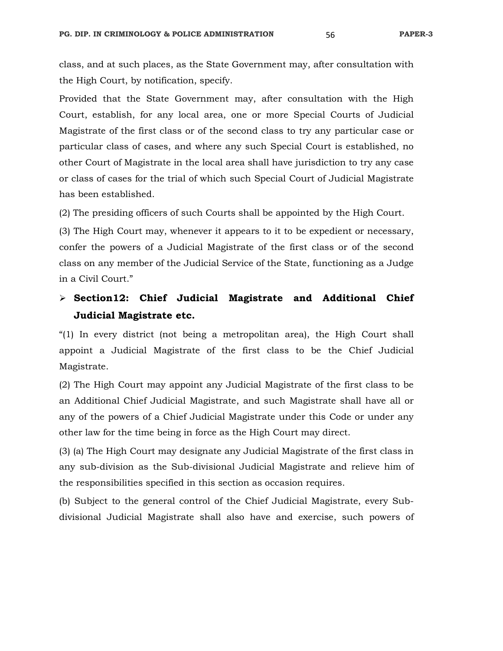class, and at such places, as the State Government may, after consultation with the High Court, by notification, specify.

Provided that the State Government may, after consultation with the High Court, establish, for any local area, one or more Special Courts of Judicial Magistrate of the first class or of the second class to try any particular case or particular class of cases, and where any such Special Court is established, no other Court of Magistrate in the local area shall have jurisdiction to try any case or class of cases for the trial of which such Special Court of Judicial Magistrate has been established.

(2) The presiding officers of such Courts shall be appointed by the High Court.

(3) The High Court may, whenever it appears to it to be expedient or necessary, confer the powers of a Judicial Magistrate of the first class or of the second class on any member of the Judicial Service of the State, functioning as a Judge in a Civil Court."

# **Section12: Chief Judicial Magistrate and Additional Chief Judicial Magistrate etc.**

"(1) In every district (not being a metropolitan area), the High Court shall appoint a Judicial Magistrate of the first class to be the Chief Judicial Magistrate.

(2) The High Court may appoint any Judicial Magistrate of the first class to be an Additional Chief Judicial Magistrate, and such Magistrate shall have all or any of the powers of a Chief Judicial Magistrate under this Code or under any other law for the time being in force as the High Court may direct.

(3) (a) The High Court may designate any Judicial Magistrate of the first class in any sub-division as the Sub-divisional Judicial Magistrate and relieve him of the responsibilities specified in this section as occasion requires.

(b) Subject to the general control of the Chief Judicial Magistrate, every Subdivisional Judicial Magistrate shall also have and exercise, such powers of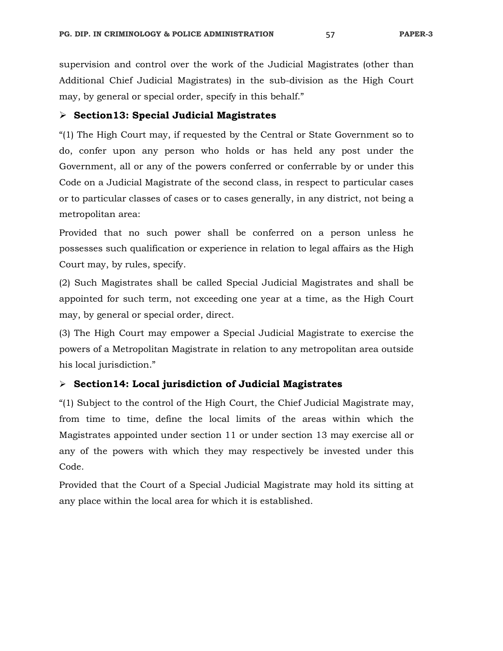supervision and control over the work of the Judicial Magistrates (other than Additional Chief Judicial Magistrates) in the sub-division as the High Court may, by general or special order, specify in this behalf."

## **Section13: Special Judicial Magistrates**

"(1) The High Court may, if requested by the Central or State Government so to do, confer upon any person who holds or has held any post under the Government, all or any of the powers conferred or conferrable by or under this Code on a Judicial Magistrate of the second class, in respect to particular cases or to particular classes of cases or to cases generally, in any district, not being a metropolitan area:

Provided that no such power shall be conferred on a person unless he possesses such qualification or experience in relation to legal affairs as the High Court may, by rules, specify.

(2) Such Magistrates shall be called Special Judicial Magistrates and shall be appointed for such term, not exceeding one year at a time, as the High Court may, by general or special order, direct.

(3) The High Court may empower a Special Judicial Magistrate to exercise the powers of a Metropolitan Magistrate in relation to any metropolitan area outside his local jurisdiction."

## **Section14: Local jurisdiction of Judicial Magistrates**

"(1) Subject to the control of the High Court, the Chief Judicial Magistrate may, from time to time, define the local limits of the areas within which the Magistrates appointed under section 11 or under section 13 may exercise all or any of the powers with which they may respectively be invested under this Code.

Provided that the Court of a Special Judicial Magistrate may hold its sitting at any place within the local area for which it is established.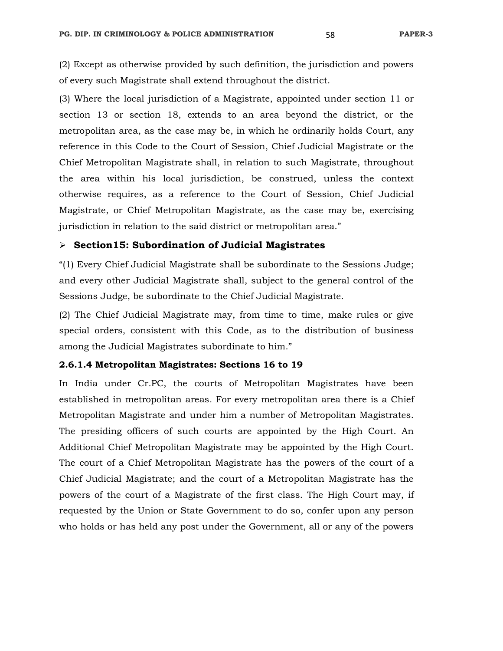(2) Except as otherwise provided by such definition, the jurisdiction and powers of every such Magistrate shall extend throughout the district.

(3) Where the local jurisdiction of a Magistrate, appointed under section 11 or section 13 or section 18, extends to an area beyond the district, or the metropolitan area, as the case may be, in which he ordinarily holds Court, any reference in this Code to the Court of Session, Chief Judicial Magistrate or the Chief Metropolitan Magistrate shall, in relation to such Magistrate, throughout the area within his local jurisdiction, be construed, unless the context otherwise requires, as a reference to the Court of Session, Chief Judicial Magistrate, or Chief Metropolitan Magistrate, as the case may be, exercising jurisdiction in relation to the said district or metropolitan area."

## **Section15: Subordination of Judicial Magistrates**

"(1) Every Chief Judicial Magistrate shall be subordinate to the Sessions Judge; and every other Judicial Magistrate shall, subject to the general control of the Sessions Judge, be subordinate to the Chief Judicial Magistrate.

(2) The Chief Judicial Magistrate may, from time to time, make rules or give special orders, consistent with this Code, as to the distribution of business among the Judicial Magistrates subordinate to him."

#### **2.6.1.4 Metropolitan Magistrates: Sections 16 to 19**

In India under Cr.PC, the courts of Metropolitan Magistrates have been established in metropolitan areas. For every metropolitan area there is a Chief Metropolitan Magistrate and under him a number of Metropolitan Magistrates. The presiding officers of such courts are appointed by the High Court. An Additional Chief Metropolitan Magistrate may be appointed by the High Court. The court of a Chief Metropolitan Magistrate has the powers of the court of a Chief Judicial Magistrate; and the court of a Metropolitan Magistrate has the powers of the court of a Magistrate of the first class. The High Court may, if requested by the Union or State Government to do so, confer upon any person who holds or has held any post under the Government, all or any of the powers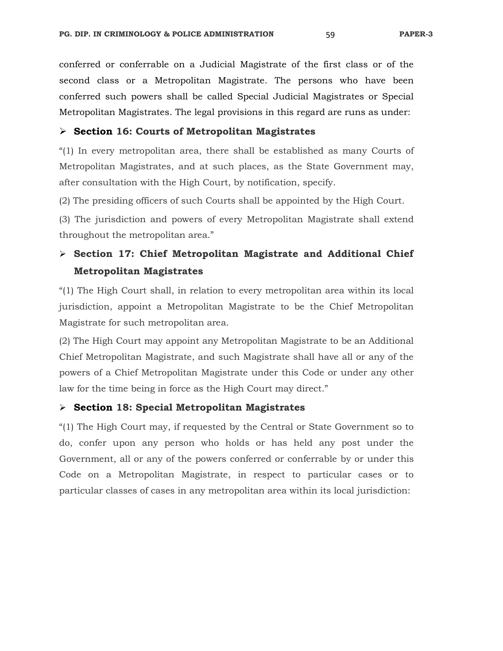conferred or conferrable on a Judicial Magistrate of the first class or of the second class or a Metropolitan Magistrate. The persons who have been conferred such powers shall be called Special Judicial Magistrates or Special Metropolitan Magistrates. The legal provisions in this regard are runs as under:

## **Section 16: Courts of Metropolitan Magistrates**

"(1) In every metropolitan area, there shall be established as many Courts of Metropolitan Magistrates, and at such places, as the State Government may, after consultation with the High Court, by notification, specify.

(2) The presiding officers of such Courts shall be appointed by the High Court.

(3) The jurisdiction and powers of every Metropolitan Magistrate shall extend throughout the metropolitan area."

# **Section 17: Chief Metropolitan Magistrate and Additional Chief Metropolitan Magistrates**

"(1) The High Court shall, in relation to every metropolitan area within its local jurisdiction, appoint a Metropolitan Magistrate to be the Chief Metropolitan Magistrate for such metropolitan area.

(2) The High Court may appoint any Metropolitan Magistrate to be an Additional Chief Metropolitan Magistrate, and such Magistrate shall have all or any of the powers of a Chief Metropolitan Magistrate under this Code or under any other law for the time being in force as the High Court may direct."

### **Section 18: Special Metropolitan Magistrates**

"(1) The High Court may, if requested by the Central or State Government so to do, confer upon any person who holds or has held any post under the Government, all or any of the powers conferred or conferrable by or under this Code on a Metropolitan Magistrate, in respect to particular cases or to particular classes of cases in any metropolitan area within its local jurisdiction: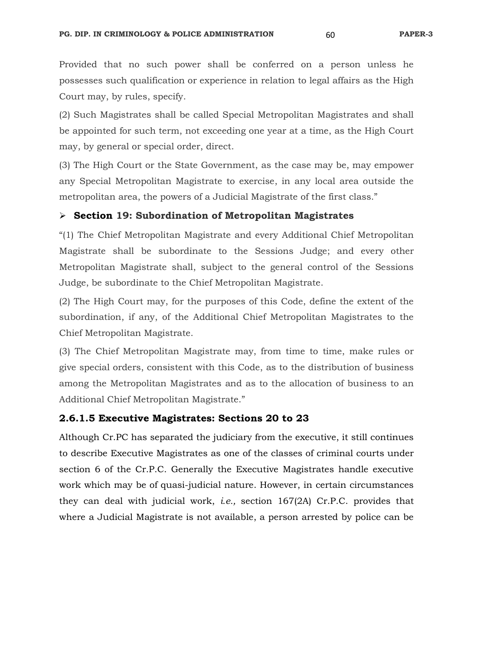Provided that no such power shall be conferred on a person unless he possesses such qualification or experience in relation to legal affairs as the High Court may, by rules, specify.

(2) Such Magistrates shall be called Special Metropolitan Magistrates and shall be appointed for such term, not exceeding one year at a time, as the High Court may, by general or special order, direct.

(3) The High Court or the State Government, as the case may be, may empower any Special Metropolitan Magistrate to exercise, in any local area outside the metropolitan area, the powers of a Judicial Magistrate of the first class."

## **Section 19: Subordination of Metropolitan Magistrates**

"(1) The Chief Metropolitan Magistrate and every Additional Chief Metropolitan Magistrate shall be subordinate to the Sessions Judge; and every other Metropolitan Magistrate shall, subject to the general control of the Sessions Judge, be subordinate to the Chief Metropolitan Magistrate.

(2) The High Court may, for the purposes of this Code, define the extent of the subordination, if any, of the Additional Chief Metropolitan Magistrates to the Chief Metropolitan Magistrate.

(3) The Chief Metropolitan Magistrate may, from time to time, make rules or give special orders, consistent with this Code, as to the distribution of business among the Metropolitan Magistrates and as to the allocation of business to an Additional Chief Metropolitan Magistrate."

## **2.6.1.5 Executive Magistrates: Sections 20 to 23**

Although Cr.PC has separated the judiciary from the executive, it still continues to describe Executive Magistrates as one of the classes of criminal courts under section 6 of the Cr.P.C. Generally the Executive Magistrates handle executive work which may be of quasi-judicial nature. However, in certain circumstances they can deal with judicial work, *i.e.,* section 167(2A) Cr.P.C. provides that where a Judicial Magistrate is not available, a person arrested by police can be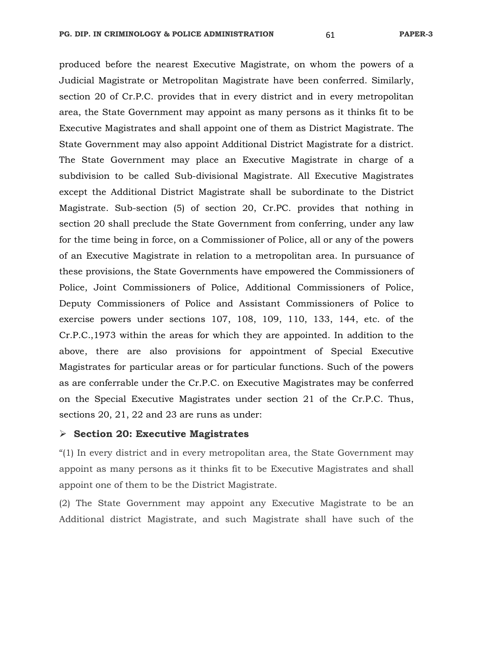produced before the nearest Executive Magistrate, on whom the powers of a Judicial Magistrate or Metropolitan Magistrate have been conferred. Similarly, section 20 of Cr.P.C. provides that in every district and in every metropolitan area, the State Government may appoint as many persons as it thinks fit to be Executive Magistrates and shall appoint one of them as District Magistrate. The State Government may also appoint Additional District Magistrate for a district. The State Government may place an Executive Magistrate in charge of a subdivision to be called Sub-divisional Magistrate. All Executive Magistrates except the Additional District Magistrate shall be subordinate to the District Magistrate. Sub-section (5) of section 20, Cr.PC. provides that nothing in section 20 shall preclude the State Government from conferring, under any law for the time being in force, on a Commissioner of Police, all or any of the powers of an Executive Magistrate in relation to a metropolitan area. In pursuance of these provisions, the State Governments have empowered the Commissioners of Police, Joint Commissioners of Police, Additional Commissioners of Police, Deputy Commissioners of Police and Assistant Commissioners of Police to exercise powers under sections 107, 108, 109, 110, 133, 144, etc. of the Cr.P.C.,1973 within the areas for which they are appointed. In addition to the above, there are also provisions for appointment of Special Executive Magistrates for particular areas or for particular functions. Such of the powers as are conferrable under the Cr.P.C. on Executive Magistrates may be conferred on the Special Executive Magistrates under section 21 of the Cr.P.C. Thus, sections 20, 21, 22 and 23 are runs as under:

#### **Section 20: Executive Magistrates**

"(1) In every district and in every metropolitan area, the State Government may appoint as many persons as it thinks fit to be Executive Magistrates and shall appoint one of them to be the District Magistrate.

(2) The State Government may appoint any Executive Magistrate to be an Additional district Magistrate, and such Magistrate shall have such of the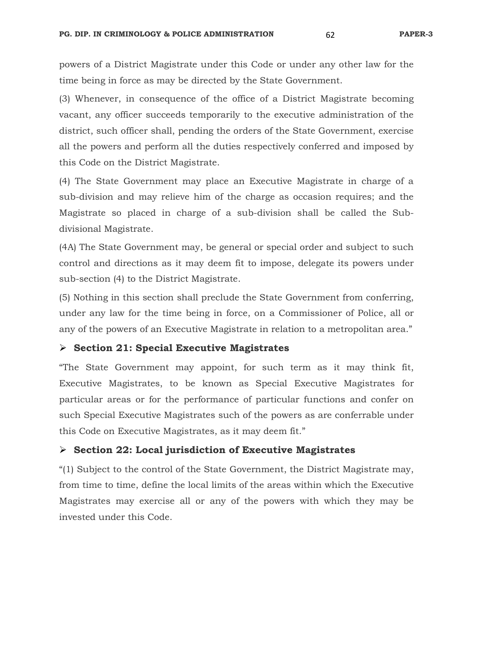powers of a District Magistrate under this Code or under any other law for the time being in force as may be directed by the State Government.

(3) Whenever, in consequence of the office of a District Magistrate becoming vacant, any officer succeeds temporarily to the executive administration of the district, such officer shall, pending the orders of the State Government, exercise all the powers and perform all the duties respectively conferred and imposed by this Code on the District Magistrate.

(4) The State Government may place an Executive Magistrate in charge of a sub-division and may relieve him of the charge as occasion requires; and the Magistrate so placed in charge of a sub-division shall be called the Subdivisional Magistrate.

(4A) The State Government may, be general or special order and subject to such control and directions as it may deem fit to impose, delegate its powers under sub-section (4) to the District Magistrate.

(5) Nothing in this section shall preclude the State Government from conferring, under any law for the time being in force, on a Commissioner of Police, all or any of the powers of an Executive Magistrate in relation to a metropolitan area."

## **Section 21: Special Executive Magistrates**

"The State Government may appoint, for such term as it may think fit, Executive Magistrates, to be known as Special Executive Magistrates for particular areas or for the performance of particular functions and confer on such Special Executive Magistrates such of the powers as are conferrable under this Code on Executive Magistrates, as it may deem fit."

#### **Section 22: Local jurisdiction of Executive Magistrates**

"(1) Subject to the control of the State Government, the District Magistrate may, from time to time, define the local limits of the areas within which the Executive Magistrates may exercise all or any of the powers with which they may be invested under this Code.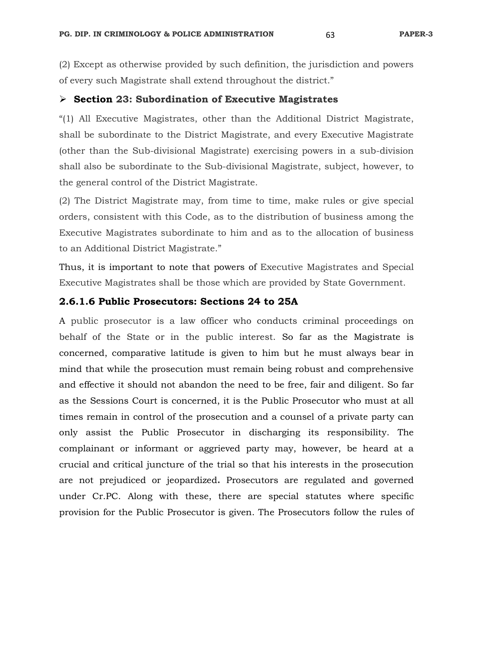(2) Except as otherwise provided by such definition, the jurisdiction and powers of every such Magistrate shall extend throughout the district."

#### **Section 23: Subordination of Executive Magistrates**

"(1) All Executive Magistrates, other than the Additional District Magistrate, shall be subordinate to the District Magistrate, and every Executive Magistrate (other than the Sub-divisional Magistrate) exercising powers in a sub-division shall also be subordinate to the Sub-divisional Magistrate, subject, however, to the general control of the District Magistrate.

(2) The District Magistrate may, from time to time, make rules or give special orders, consistent with this Code, as to the distribution of business among the Executive Magistrates subordinate to him and as to the allocation of business to an Additional District Magistrate."

Thus, it is important to note that powers of Executive Magistrates and Special Executive Magistrates shall be those which are provided by State Government.

## **2.6.1.6 Public Prosecutors: Sections 24 to 25A**

A public prosecutor is a law officer who conducts criminal proceedings on behalf of the State or in the public interest. So far as the Magistrate is concerned, comparative latitude is given to him but he must always bear in mind that while the prosecution must remain being robust and comprehensive and effective it should not abandon the need to be free, fair and diligent. So far as the Sessions Court is concerned, it is the Public Prosecutor who must at all times remain in control of the prosecution and a counsel of a private party can only assist the Public Prosecutor in discharging its responsibility. The complainant or informant or aggrieved party may, however, be heard at a crucial and critical juncture of the trial so that his interests in the prosecution are not prejudiced or jeopardized**.** Prosecutors are regulated and governed under Cr.PC. Along with these, there are special statutes where specific provision for the Public Prosecutor is given. The Prosecutors follow the rules of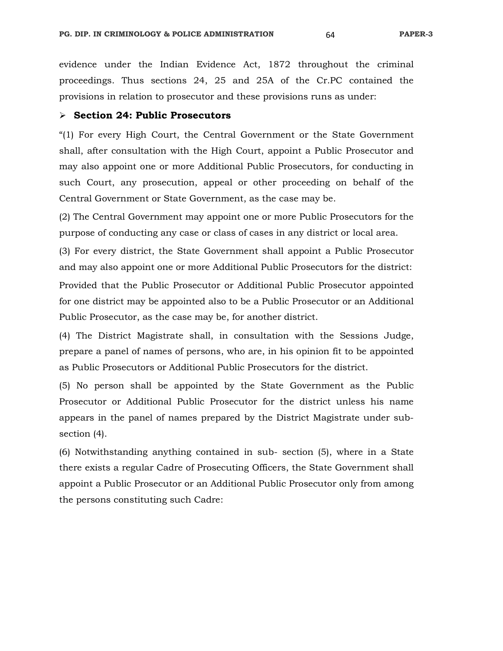evidence under the Indian Evidence Act, 1872 throughout the criminal proceedings. Thus sections 24, 25 and 25A of the Cr.PC contained the provisions in relation to prosecutor and these provisions runs as under:

#### **Section 24: Public Prosecutors**

"(1) For every High Court, the Central Government or the State Government shall, after consultation with the High Court, appoint a Public Prosecutor and may also appoint one or more Additional Public Prosecutors, for conducting in such Court, any prosecution, appeal or other proceeding on behalf of the Central Government or State Government, as the case may be.

(2) The Central Government may appoint one or more Public Prosecutors for the purpose of conducting any case or class of cases in any district or local area.

(3) For every district, the State Government shall appoint a Public Prosecutor and may also appoint one or more Additional Public Prosecutors for the district: Provided that the Public Prosecutor or Additional Public Prosecutor appointed for one district may be appointed also to be a Public Prosecutor or an Additional Public Prosecutor, as the case may be, for another district.

(4) The District Magistrate shall, in consultation with the Sessions Judge, prepare a panel of names of persons, who are, in his opinion fit to be appointed as Public Prosecutors or Additional Public Prosecutors for the district.

(5) No person shall be appointed by the State Government as the Public Prosecutor or Additional Public Prosecutor for the district unless his name appears in the panel of names prepared by the District Magistrate under subsection (4).

(6) Notwithstanding anything contained in sub- section (5), where in a State there exists a regular Cadre of Prosecuting Officers, the State Government shall appoint a Public Prosecutor or an Additional Public Prosecutor only from among the persons constituting such Cadre: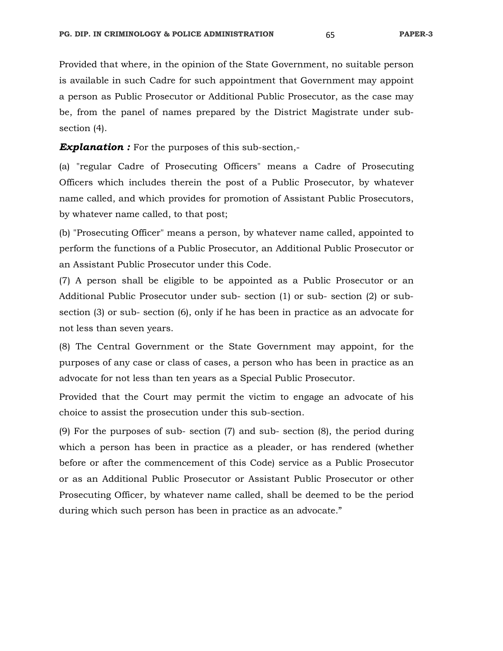Provided that where, in the opinion of the State Government, no suitable person is available in such Cadre for such appointment that Government may appoint a person as Public Prosecutor or Additional Public Prosecutor, as the case may be, from the panel of names prepared by the District Magistrate under subsection (4).

**Explanation :** For the purposes of this sub-section,-

(a) "regular Cadre of Prosecuting Officers" means a Cadre of Prosecuting Officers which includes therein the post of a Public Prosecutor, by whatever name called, and which provides for promotion of Assistant Public Prosecutors, by whatever name called, to that post;

(b) "Prosecuting Officer" means a person, by whatever name called, appointed to perform the functions of a Public Prosecutor, an Additional Public Prosecutor or an Assistant Public Prosecutor under this Code.

(7) A person shall be eligible to be appointed as a Public Prosecutor or an Additional Public Prosecutor under sub- section (1) or sub- section (2) or subsection (3) or sub- section (6), only if he has been in practice as an advocate for not less than seven years.

(8) The Central Government or the State Government may appoint, for the purposes of any case or class of cases, a person who has been in practice as an advocate for not less than ten years as a Special Public Prosecutor.

Provided that the Court may permit the victim to engage an advocate of his choice to assist the prosecution under this sub-section.

(9) For the purposes of sub- section (7) and sub- section (8), the period during which a person has been in practice as a pleader, or has rendered (whether before or after the commencement of this Code) service as a Public Prosecutor or as an Additional Public Prosecutor or Assistant Public Prosecutor or other Prosecuting Officer, by whatever name called, shall be deemed to be the period during which such person has been in practice as an advocate."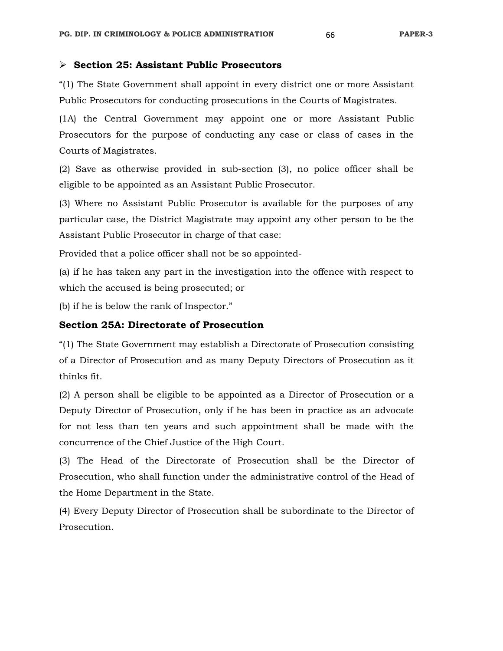## **Section 25: Assistant Public Prosecutors**

"(1) The State Government shall appoint in every district one or more Assistant Public Prosecutors for conducting prosecutions in the Courts of Magistrates.

(1A) the Central Government may appoint one or more Assistant Public Prosecutors for the purpose of conducting any case or class of cases in the Courts of Magistrates.

(2) Save as otherwise provided in sub-section (3), no police officer shall be eligible to be appointed as an Assistant Public Prosecutor.

(3) Where no Assistant Public Prosecutor is available for the purposes of any particular case, the District Magistrate may appoint any other person to be the Assistant Public Prosecutor in charge of that case:

Provided that a police officer shall not be so appointed-

(a) if he has taken any part in the investigation into the offence with respect to which the accused is being prosecuted; or

(b) if he is below the rank of Inspector."

## **Section 25A: Directorate of Prosecution**

"(1) The State Government may establish a Directorate of Prosecution consisting of a Director of Prosecution and as many Deputy Directors of Prosecution as it thinks fit.

(2) A person shall be eligible to be appointed as a Director of Prosecution or a Deputy Director of Prosecution, only if he has been in practice as an advocate for not less than ten years and such appointment shall be made with the concurrence of the Chief Justice of the High Court.

(3) The Head of the Directorate of Prosecution shall be the Director of Prosecution, who shall function under the administrative control of the Head of the Home Department in the State.

(4) Every Deputy Director of Prosecution shall be subordinate to the Director of Prosecution.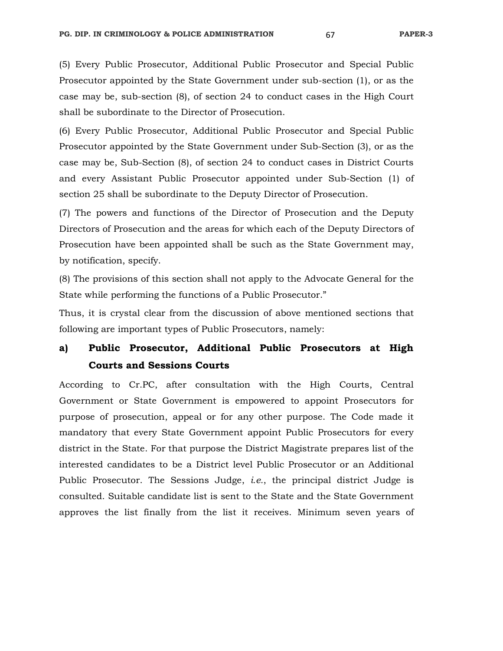(5) Every Public Prosecutor, Additional Public Prosecutor and Special Public Prosecutor appointed by the State Government under sub-section (1), or as the case may be, sub-section (8), of section 24 to conduct cases in the High Court shall be subordinate to the Director of Prosecution.

(6) Every Public Prosecutor, Additional Public Prosecutor and Special Public Prosecutor appointed by the State Government under Sub-Section (3), or as the case may be, Sub-Section (8), of section 24 to conduct cases in District Courts and every Assistant Public Prosecutor appointed under Sub-Section (1) of section 25 shall be subordinate to the Deputy Director of Prosecution.

(7) The powers and functions of the Director of Prosecution and the Deputy Directors of Prosecution and the areas for which each of the Deputy Directors of Prosecution have been appointed shall be such as the State Government may, by notification, specify.

(8) The provisions of this section shall not apply to the Advocate General for the State while performing the functions of a Public Prosecutor."

Thus, it is crystal clear from the discussion of above mentioned sections that following are important types of Public Prosecutors, namely:

# **a) Public Prosecutor, Additional Public Prosecutors at High Courts and Sessions Courts**

According to Cr.PC, after consultation with the High Courts, Central Government or State Government is empowered to appoint Prosecutors for purpose of prosecution, appeal or for any other purpose. The Code made it mandatory that every State Government appoint Public Prosecutors for every district in the State. For that purpose the District Magistrate prepares list of the interested candidates to be a District level Public Prosecutor or an Additional Public Prosecutor. The Sessions Judge, *i.e.*, the principal district Judge is consulted. Suitable candidate list is sent to the State and the State Government approves the list finally from the list it receives. Minimum seven years of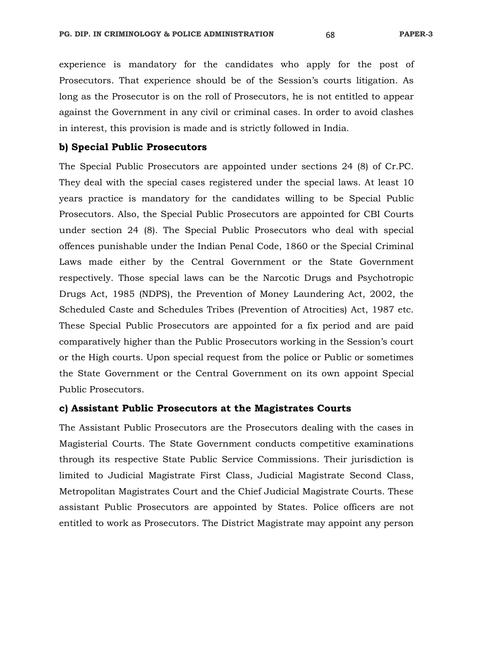experience is mandatory for the candidates who apply for the post of Prosecutors. That experience should be of the Session's courts litigation. As long as the Prosecutor is on the roll of Prosecutors, he is not entitled to appear against the Government in any civil or criminal cases. In order to avoid clashes in interest, this provision is made and is strictly followed in India.

#### **b) Special Public Prosecutors**

The Special Public Prosecutors are appointed under sections 24 (8) of Cr.PC. They deal with the special cases registered under the special laws. At least 10 years practice is mandatory for the candidates willing to be Special Public Prosecutors. Also, the Special Public Prosecutors are appointed for CBI Courts under section 24 (8). The Special Public Prosecutors who deal with special offences punishable under the Indian Penal Code, 1860 or the Special Criminal Laws made either by the Central Government or the State Government respectively. Those special laws can be the Narcotic Drugs and Psychotropic Drugs Act, 1985 (NDPS), the Prevention of Money Laundering Act, 2002, the Scheduled Caste and Schedules Tribes (Prevention of Atrocities) Act, 1987 etc. These Special Public Prosecutors are appointed for a fix period and are paid comparatively higher than the Public Prosecutors working in the Session's court or the High courts. Upon special request from the police or Public or sometimes the State Government or the Central Government on its own appoint Special Public Prosecutors.

## **c) Assistant Public Prosecutors at the Magistrates Courts**

The Assistant Public Prosecutors are the Prosecutors dealing with the cases in Magisterial Courts. The State Government conducts competitive examinations through its respective State Public Service Commissions. Their jurisdiction is limited to Judicial Magistrate First Class, Judicial Magistrate Second Class, Metropolitan Magistrates Court and the Chief Judicial Magistrate Courts. These assistant Public Prosecutors are appointed by States. Police officers are not entitled to work as Prosecutors. The District Magistrate may appoint any person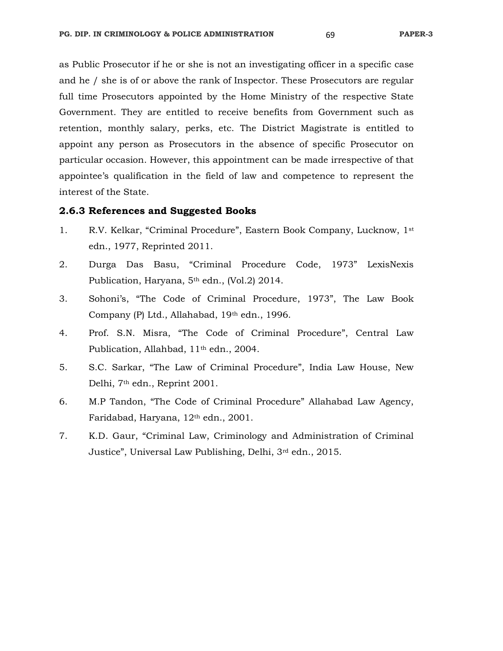as Public Prosecutor if he or she is not an investigating officer in a specific case and he / she is of or above the rank of Inspector. These Prosecutors are regular full time Prosecutors appointed by the Home Ministry of the respective State Government. They are entitled to receive benefits from Government such as retention, monthly salary, perks, etc. The District Magistrate is entitled to appoint any person as Prosecutors in the absence of specific Prosecutor on particular occasion. However, this appointment can be made irrespective of that appointee's qualification in the field of law and competence to represent the interest of the State.

#### **2.6.3 References and Suggested Books**

- 1. R.V. Kelkar, "Criminal Procedure", Eastern Book Company, Lucknow, 1st edn., 1977, Reprinted 2011.
- 2. Durga Das Basu, "Criminal Procedure Code, 1973" LexisNexis Publication, Haryana, 5<sup>th</sup> edn., (Vol.2) 2014.
- 3. Sohoni's, "The Code of Criminal Procedure, 1973", The Law Book Company (P) Ltd., Allahabad, 19th edn., 1996.
- 4. Prof. S.N. Misra, "The Code of Criminal Procedure", Central Law Publication, Allahbad, 11<sup>th</sup> edn., 2004.
- 5. S.C. Sarkar, "The Law of Criminal Procedure", India Law House, New Delhi, 7th edn., Reprint 2001.
- 6. M.P Tandon, "The Code of Criminal Procedure" Allahabad Law Agency, Faridabad, Haryana, 12th edn., 2001.
- 7. K.D. Gaur, "Criminal Law, Criminology and Administration of Criminal Justice", Universal Law Publishing, Delhi, 3rd edn., 2015.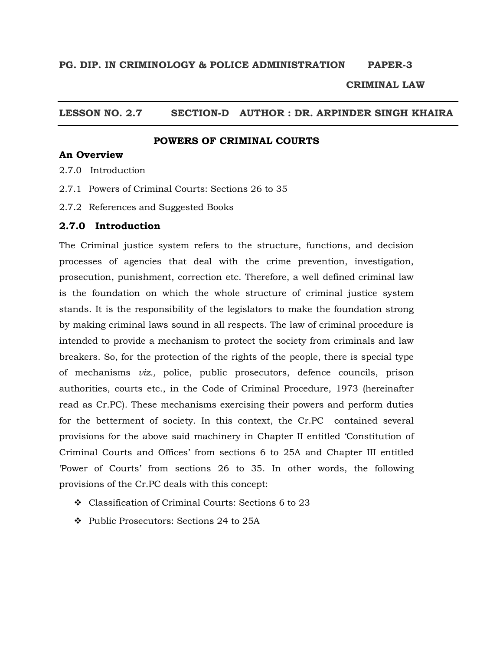#### **CRIMINAL LAW**

## **LESSON NO. 2.7 SECTION-D AUTHOR : DR. ARPINDER SINGH KHAIRA**

#### **POWERS OF CRIMINAL COURTS**

## **An Overview**

- 2.7.0 Introduction
- 2.7.1 Powers of Criminal Courts: Sections 26 to 35
- 2.7.2 References and Suggested Books

#### **2.7.0 Introduction**

The Criminal justice system refers to the structure, functions, and decision processes of agencies that deal with the crime prevention, investigation, prosecution, punishment, correction etc. Therefore, a well defined criminal law is the foundation on which the whole structure of criminal justice system stands. It is the responsibility of the legislators to make the foundation strong by making criminal laws sound in all respects. The law of criminal procedure is intended to provide a mechanism to protect the society from criminals and law breakers. So, for the protection of the rights of the people, there is special type of mechanisms *viz.,* police, public prosecutors, defence councils, prison authorities, courts etc., in the Code of Criminal Procedure, 1973 (hereinafter read as Cr.PC). These mechanisms exercising their powers and perform duties for the betterment of society. In this context, the Cr.PC contained several provisions for the above said machinery in Chapter II entitled 'Constitution of Criminal Courts and Offices' from sections 6 to 25A and Chapter III entitled 'Power of Courts' from sections 26 to 35. In other words, the following provisions of the Cr.PC deals with this concept:

- Classification of Criminal Courts: Sections 6 to 23
- Public Prosecutors: Sections 24 to 25A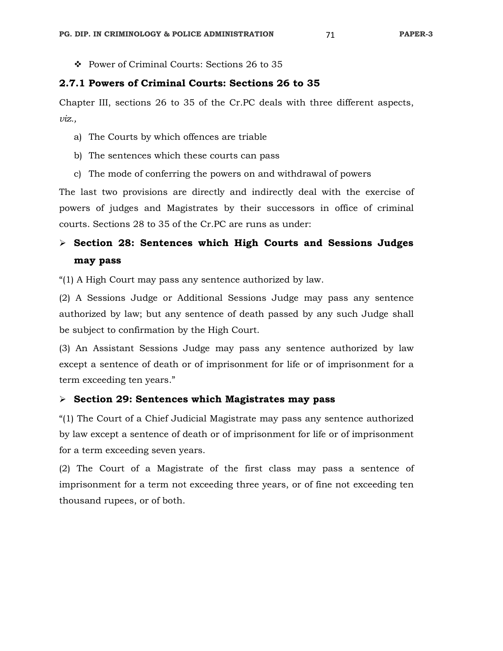Power of Criminal Courts: Sections 26 to 35

## **2.7.1 Powers of Criminal Courts: Sections 26 to 35**

Chapter III, sections 26 to 35 of the Cr.PC deals with three different aspects, *viz.,* 

- a) The Courts by which offences are triable
- b) The sentences which these courts can pass
- c) The mode of conferring the powers on and withdrawal of powers

The last two provisions are directly and indirectly deal with the exercise of powers of judges and Magistrates by their successors in office of criminal courts. Sections 28 to 35 of the Cr.PC are runs as under:

# **Section 28: Sentences which High Courts and Sessions Judges may pass**

"(1) A High Court may pass any sentence authorized by law.

(2) A Sessions Judge or Additional Sessions Judge may pass any sentence authorized by law; but any sentence of death passed by any such Judge shall be subject to confirmation by the High Court.

(3) An Assistant Sessions Judge may pass any sentence authorized by law except a sentence of death or of imprisonment for life or of imprisonment for a term exceeding ten years."

#### **Section 29: Sentences which Magistrates may pass**

"(1) The Court of a Chief Judicial Magistrate may pass any sentence authorized by law except a sentence of death or of imprisonment for life or of imprisonment for a term exceeding seven years.

(2) The Court of a Magistrate of the first class may pass a sentence of imprisonment for a term not exceeding three years, or of fine not exceeding ten thousand rupees, or of both.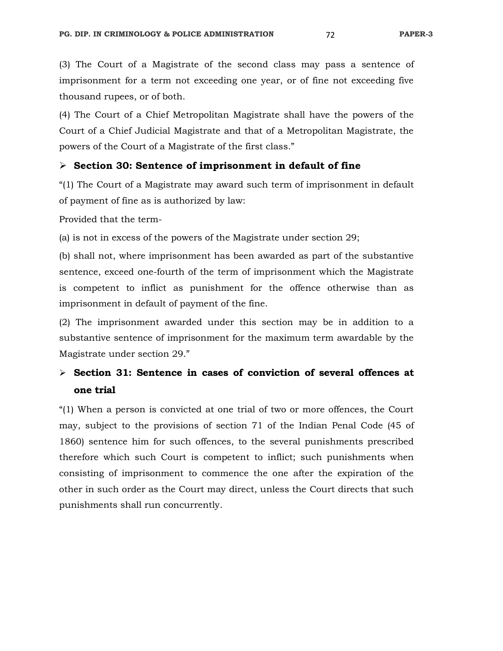(3) The Court of a Magistrate of the second class may pass a sentence of imprisonment for a term not exceeding one year, or of fine not exceeding five thousand rupees, or of both.

(4) The Court of a Chief Metropolitan Magistrate shall have the powers of the Court of a Chief Judicial Magistrate and that of a Metropolitan Magistrate, the powers of the Court of a Magistrate of the first class."

#### **Section 30: Sentence of imprisonment in default of fine**

"(1) The Court of a Magistrate may award such term of imprisonment in default of payment of fine as is authorized by law:

Provided that the term-

(a) is not in excess of the powers of the Magistrate under section 29;

(b) shall not, where imprisonment has been awarded as part of the substantive sentence, exceed one-fourth of the term of imprisonment which the Magistrate is competent to inflict as punishment for the offence otherwise than as imprisonment in default of payment of the fine.

(2) The imprisonment awarded under this section may be in addition to a substantive sentence of imprisonment for the maximum term awardable by the Magistrate under section 29."

# **Section 31: Sentence in cases of conviction of several offences at one trial**

"(1) When a person is convicted at one trial of two or more offences, the Court may, subject to the provisions of section 71 of the Indian Penal Code (45 of 1860) sentence him for such offences, to the several punishments prescribed therefore which such Court is competent to inflict; such punishments when consisting of imprisonment to commence the one after the expiration of the other in such order as the Court may direct, unless the Court directs that such punishments shall run concurrently.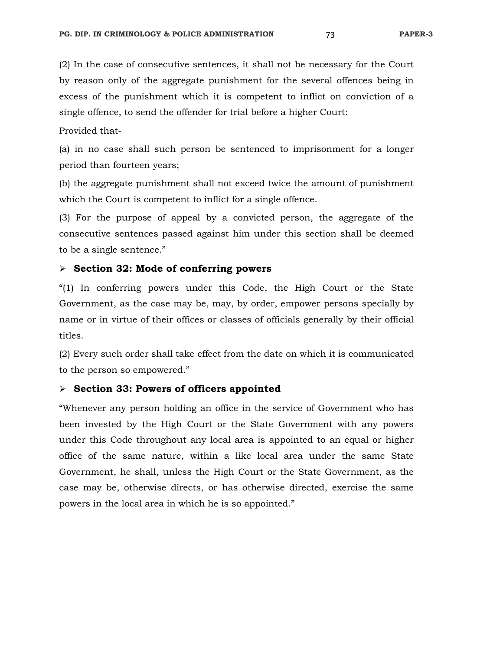(2) In the case of consecutive sentences, it shall not be necessary for the Court by reason only of the aggregate punishment for the several offences being in excess of the punishment which it is competent to inflict on conviction of a single offence, to send the offender for trial before a higher Court:

#### Provided that-

(a) in no case shall such person be sentenced to imprisonment for a longer period than fourteen years;

(b) the aggregate punishment shall not exceed twice the amount of punishment which the Court is competent to inflict for a single offence.

(3) For the purpose of appeal by a convicted person, the aggregate of the consecutive sentences passed against him under this section shall be deemed to be a single sentence."

#### **Section 32: Mode of conferring powers**

"(1) In conferring powers under this Code, the High Court or the State Government, as the case may be, may, by order, empower persons specially by name or in virtue of their offices or classes of officials generally by their official titles.

(2) Every such order shall take effect from the date on which it is communicated to the person so empowered."

#### **Section 33: Powers of officers appointed**

"Whenever any person holding an office in the service of Government who has been invested by the High Court or the State Government with any powers under this Code throughout any local area is appointed to an equal or higher office of the same nature, within a like local area under the same State Government, he shall, unless the High Court or the State Government, as the case may be, otherwise directs, or has otherwise directed, exercise the same powers in the local area in which he is so appointed."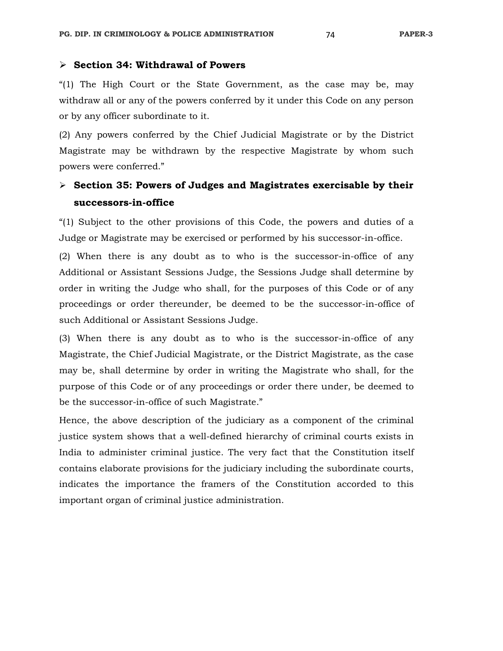"(1) The High Court or the State Government, as the case may be, may withdraw all or any of the powers conferred by it under this Code on any person or by any officer subordinate to it.

(2) Any powers conferred by the Chief Judicial Magistrate or by the District Magistrate may be withdrawn by the respective Magistrate by whom such powers were conferred."

# **Section 35: Powers of Judges and Magistrates exercisable by their successors-in-office**

"(1) Subject to the other provisions of this Code, the powers and duties of a Judge or Magistrate may be exercised or performed by his successor-in-office.

(2) When there is any doubt as to who is the successor-in-office of any Additional or Assistant Sessions Judge, the Sessions Judge shall determine by order in writing the Judge who shall, for the purposes of this Code or of any proceedings or order thereunder, be deemed to be the successor-in-office of such Additional or Assistant Sessions Judge.

(3) When there is any doubt as to who is the successor-in-office of any Magistrate, the Chief Judicial Magistrate, or the District Magistrate, as the case may be, shall determine by order in writing the Magistrate who shall, for the purpose of this Code or of any proceedings or order there under, be deemed to be the successor-in-office of such Magistrate."

Hence, the above description of the judiciary as a component of the criminal justice system shows that a well-defined hierarchy of criminal courts exists in India to administer criminal justice. The very fact that the Constitution itself contains elaborate provisions for the judiciary including the subordinate courts, indicates the importance the framers of the Constitution accorded to this important organ of criminal justice administration.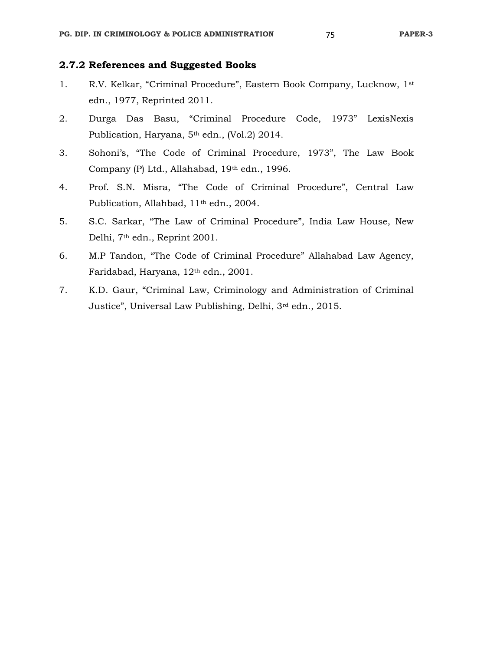- 1. R.V. Kelkar, "Criminal Procedure", Eastern Book Company, Lucknow, 1st edn., 1977, Reprinted 2011.
- 2. Durga Das Basu, "Criminal Procedure Code, 1973" LexisNexis Publication, Haryana, 5<sup>th</sup> edn., (Vol.2) 2014.
- 3. Sohoni's, "The Code of Criminal Procedure, 1973", The Law Book Company (P) Ltd., Allahabad, 19th edn., 1996.
- 4. Prof. S.N. Misra, "The Code of Criminal Procedure", Central Law Publication, Allahbad, 11th edn., 2004.
- 5. S.C. Sarkar, "The Law of Criminal Procedure", India Law House, New Delhi, 7th edn., Reprint 2001.
- 6. M.P Tandon, "The Code of Criminal Procedure" Allahabad Law Agency, Faridabad, Haryana, 12th edn., 2001.
- 7. K.D. Gaur, "Criminal Law, Criminology and Administration of Criminal Justice", Universal Law Publishing, Delhi, 3rd edn., 2015.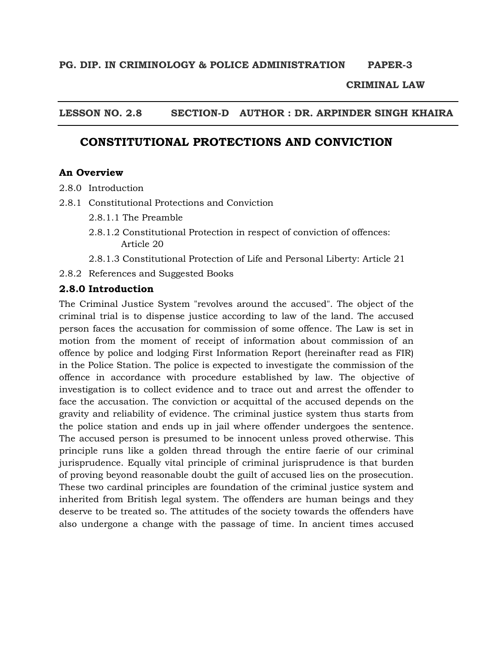#### **CRIMINAL LAW**

## **LESSON NO. 2.8 SECTION-D AUTHOR : DR. ARPINDER SINGH KHAIRA**

# **CONSTITUTIONAL PROTECTIONS AND CONVICTION**

#### **An Overview**

- 2.8.0 Introduction
- 2.8.1 Constitutional Protections and Conviction
	- 2.8.1.1 The Preamble
	- 2.8.1.2 Constitutional Protection in respect of conviction of offences: Article 20
	- 2.8.1.3 Constitutional Protection of Life and Personal Liberty: Article 21

2.8.2 References and Suggested Books

#### **2.8.0 Introduction**

The Criminal Justice System "revolves around the accused". The object of the criminal trial is to dispense justice according to law of the land. The accused person faces the accusation for commission of some offence. The Law is set in motion from the moment of receipt of information about commission of an offence by police and lodging First Information Report (hereinafter read as FIR) in the Police Station. The police is expected to investigate the commission of the offence in accordance with procedure established by law. The objective of investigation is to collect evidence and to trace out and arrest the offender to face the accusation. The conviction or acquittal of the accused depends on the gravity and reliability of evidence. The criminal justice system thus starts from the police station and ends up in jail where offender undergoes the sentence. The accused person is presumed to be innocent unless proved otherwise. This principle runs like a golden thread through the entire faerie of our criminal jurisprudence. Equally vital principle of criminal jurisprudence is that burden of proving beyond reasonable doubt the guilt of accused lies on the prosecution. These two cardinal principles are foundation of the criminal justice system and inherited from British legal system. The offenders are human beings and they deserve to be treated so. The attitudes of the society towards the offenders have also undergone a change with the passage of time. In ancient times accused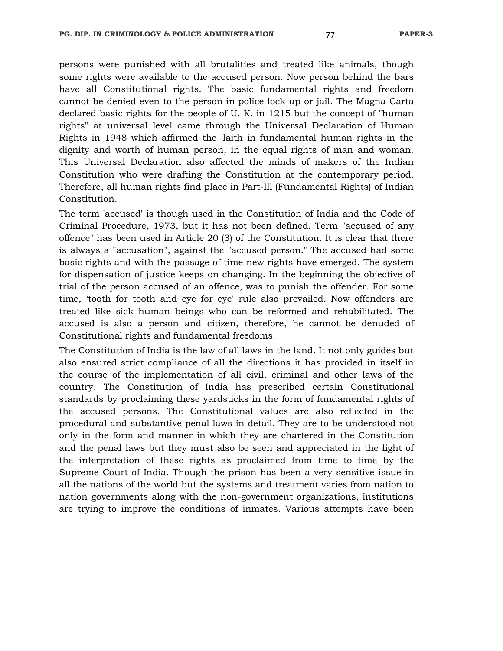persons were punished with all brutalities and treated like animals, though some rights were available to the accused person. Now person behind the bars have all Constitutional rights. The basic fundamental rights and freedom cannot be denied even to the person in police lock up or jail. The Magna Carta declared basic rights for the people of U. K. in 1215 but the concept of "human rights" at universal level came through the Universal Declaration of Human Rights in 1948 which affirmed the 'laith in fundamental human rights in the dignity and worth of human person, in the equal rights of man and woman. This Universal Declaration also affected the minds of makers of the Indian Constitution who were drafting the Constitution at the contemporary period. Therefore, all human rights find place in Part-Ill (Fundamental Rights) of Indian Constitution.

The term 'accused' is though used in the Constitution of India and the Code of Criminal Procedure, 1973, but it has not been defined. Term "accused of any offence" has been used in Article 20 (3) of the Constitution. It is clear that there is always a "accusation", against the "accused person." The accused had some basic rights and with the passage of time new rights have emerged. The system for dispensation of justice keeps on changing. In the beginning the objective of trial of the person accused of an offence, was to punish the offender. For some time, 'tooth for tooth and eye for eye' rule also prevailed. Now offenders are treated like sick human beings who can be reformed and rehabilitated. The accused is also a person and citizen, therefore, he cannot be denuded of Constitutional rights and fundamental freedoms.

The Constitution of India is the law of all laws in the land. It not only guides but also ensured strict compliance of all the directions it has provided in itself in the course of the implementation of all civil, criminal and other laws of the country. The Constitution of India has prescribed certain Constitutional standards by proclaiming these yardsticks in the form of fundamental rights of the accused persons. The Constitutional values are also reflected in the procedural and substantive penal laws in detail. They are to be understood not only in the form and manner in which they are chartered in the Constitution and the penal laws but they must also be seen and appreciated in the light of the interpretation of these rights as proclaimed from time to time by the Supreme Court of India. Though the prison has been a very sensitive issue in all the nations of the world but the systems and treatment varies from nation to nation governments along with the non-government organizations, institutions are trying to improve the conditions of inmates. Various attempts have been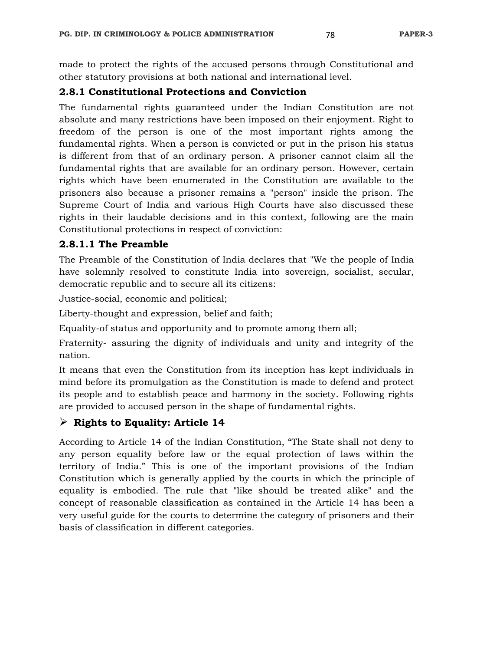made to protect the rights of the accused persons through Constitutional and other statutory provisions at both national and international level.

#### **2.8.1 Constitutional Protections and Conviction**

The fundamental rights guaranteed under the Indian Constitution are not absolute and many restrictions have been imposed on their enjoyment. Right to freedom of the person is one of the most important rights among the fundamental rights. When a person is convicted or put in the prison his status is different from that of an ordinary person. A prisoner cannot claim all the fundamental rights that are available for an ordinary person. However, certain rights which have been enumerated in the Constitution are available to the prisoners also because a prisoner remains a "person" inside the prison. The Supreme Court of India and various High Courts have also discussed these rights in their laudable decisions and in this context, following are the main Constitutional protections in respect of conviction:

#### **2.8.1.1 The Preamble**

The Preamble of the Constitution of India declares that "We the people of India have solemnly resolved to constitute India into sovereign, socialist, secular, democratic republic and to secure all its citizens:

Justice-social, economic and political;

Liberty-thought and expression, belief and faith;

Equality-of status and opportunity and to promote among them all;

Fraternity- assuring the dignity of individuals and unity and integrity of the nation.

It means that even the Constitution from its inception has kept individuals in mind before its promulgation as the Constitution is made to defend and protect its people and to establish peace and harmony in the society. Following rights are provided to accused person in the shape of fundamental rights.

# **Rights to Equality: Article 14**

According to Article 14 of the Indian Constitution, "The State shall not deny to any person equality before law or the equal protection of laws within the territory of India." This is one of the important provisions of the Indian Constitution which is generally applied by the courts in which the principle of equality is embodied. The rule that "like should be treated alike" and the concept of reasonable classification as contained in the Article 14 has been a very useful guide for the courts to determine the category of prisoners and their basis of classification in different categories.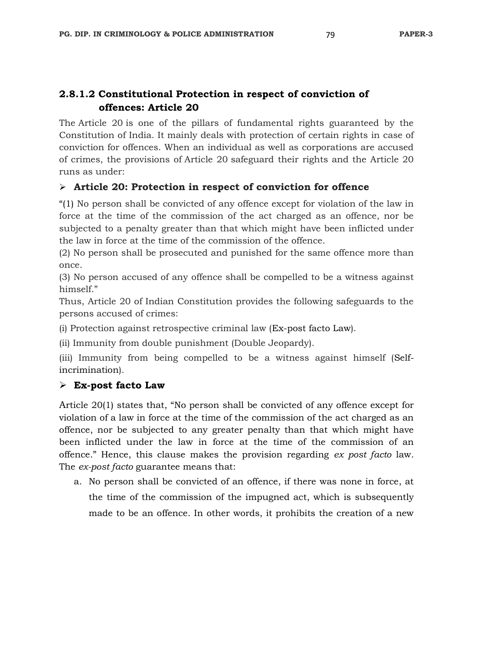# **2.8.1.2 Constitutional Protection in respect of conviction of offences: Article 20**

The Article 20 is one of the pillars of fundamental rights guaranteed by the Constitution of India. It mainly deals with protection of certain rights in case of conviction for offences. When an individual as well as corporations are accused of crimes, the provisions of Article 20 safeguard their rights and the Article 20 runs as under:

# **Article 20: Protection in respect of conviction for offence**

"(1) No person shall be convicted of any offence except for violation of the law in force at the time of the commission of the act charged as an offence, nor be subjected to a penalty greater than that which might have been inflicted under the law in force at the time of the commission of the offence.

(2) No person shall be prosecuted and punished for the same offence more than once.

(3) No person accused of any offence shall be compelled to be a witness against himself."

Thus, Article 20 of Indian Constitution provides the following safeguards to the persons accused of crimes:

(i) Protection against retrospective criminal law (Ex-post facto Law).

(ii) Immunity from double punishment (Double Jeopardy).

(iii) Immunity from being compelled to be a witness against himself (Selfincrimination).

# **Ex-post facto Law**

Article 20(1) states that, "No person shall be convicted of any offence except for violation of a law in force at the time of the commission of the act charged as an offence, nor be subjected to any greater penalty than that which might have been inflicted under the law in force at the time of the commission of an offence." Hence, this clause makes the provision regarding *ex post facto* law. The *ex-post facto* guarantee means that:

a. No person shall be convicted of an offence, if there was none in force, at the time of the commission of the impugned act, which is subsequently made to be an offence. In other words, it prohibits the creation of a new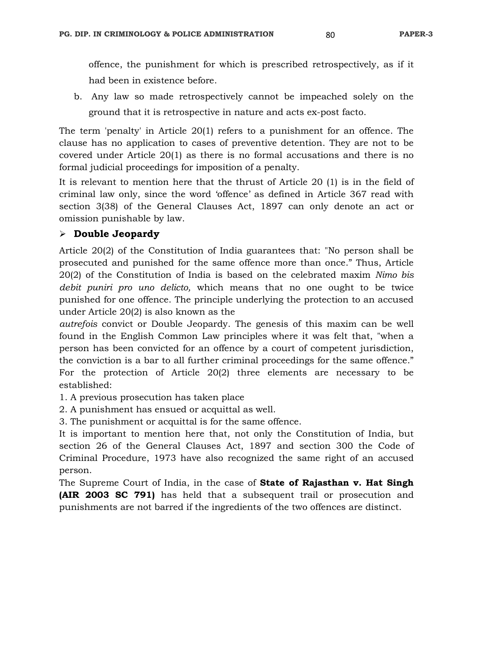offence, the punishment for which is prescribed retrospectively, as if it had been in existence before.

b. Any law so made retrospectively cannot be impeached solely on the ground that it is retrospective in nature and acts ex-post facto.

The term 'penalty' in Article 20(1) refers to a punishment for an offence. The clause has no application to cases of preventive detention. They are not to be covered under Article 20(1) as there is no formal accusations and there is no formal judicial proceedings for imposition of a penalty.

It is relevant to mention here that the thrust of Article 20 (1) is in the field of criminal law only, since the word 'offence' as defined in Article 367 read with section 3(38) of the General Clauses Act, 1897 can only denote an act or omission punishable by law.

#### **Double Jeopardy**

Article 20(2) of the Constitution of India guarantees that: "No person shall be prosecuted and punished for the same offence more than once." Thus, Article 20(2) of the Constitution of India is based on the celebrated maxim *Nimo bis debit puniri pro uno delicto,* which means that no one ought to be twice punished for one offence. The principle underlying the protection to an accused under Article 20(2) is also known as the

*autrefois* convict or Double Jeopardy. The genesis of this maxim can be well found in the English Common Law principles where it was felt that, "when a person has been convicted for an offence by a court of competent jurisdiction, the conviction is a bar to all further criminal proceedings for the same offence." For the protection of Article 20(2) three elements are necessary to be established:

- 1. A previous prosecution has taken place
- 2. A punishment has ensued or acquittal as well.
- 3. The punishment or acquittal is for the same offence.

It is important to mention here that, not only the Constitution of India, but section 26 of the General Clauses Act, 1897 and section 300 the Code of Criminal Procedure, 1973 have also recognized the same right of an accused person.

The Supreme Court of India, in the case of **State of Rajasthan v. Hat Singh (AIR 2003 SC 791)** has held that a subsequent trail or prosecution and punishments are not barred if the ingredients of the two offences are distinct.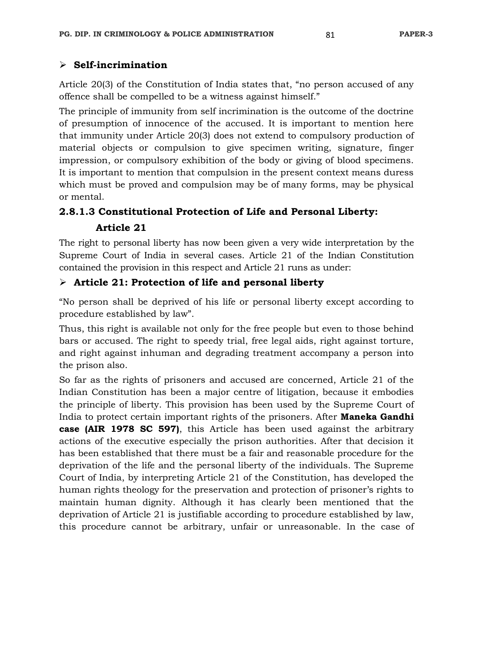# **Self-incrimination**

Article 20(3) of the Constitution of India states that, "no person accused of any offence shall be compelled to be a witness against himself."

The principle of immunity from self incrimination is the outcome of the doctrine of presumption of innocence of the accused. It is important to mention here that immunity under Article 20(3) does not extend to compulsory production of material objects or compulsion to give specimen writing, signature, finger impression, or compulsory exhibition of the body or giving of blood specimens. It is important to mention that compulsion in the present context means duress which must be proved and compulsion may be of many forms, may be physical or mental.

# **2.8.1.3 Constitutional Protection of Life and Personal Liberty:**

# **Article 21**

The right to personal liberty has now been given a very wide interpretation by the Supreme Court of India in several cases. Article 21 of the Indian Constitution contained the provision in this respect and Article 21 runs as under:

# **Article 21: Protection of life and personal liberty**

"No person shall be deprived of his life or personal liberty except according to procedure established by law".

Thus, this right is available not only for the free people but even to those behind bars or accused. The right to speedy trial, free legal aids, right against torture, and right against inhuman and degrading treatment accompany a person into the prison also.

So far as the rights of prisoners and accused are concerned, Article 21 of the Indian Constitution has been a major centre of litigation, because it embodies the principle of liberty. This provision has been used by the Supreme Court of India to protect certain important rights of the prisoners. After **Maneka Gandhi case (AIR 1978 SC 597)**, this Article has been used against the arbitrary actions of the executive especially the prison authorities. After that decision it has been established that there must be a fair and reasonable procedure for the deprivation of the life and the personal liberty of the individuals. The Supreme Court of India, by interpreting Article 21 of the Constitution, has developed the human rights theology for the preservation and protection of prisoner's rights to maintain human dignity. Although it has clearly been mentioned that the deprivation of Article 21 is justifiable according to procedure established by law, this procedure cannot be arbitrary, unfair or unreasonable. In the case of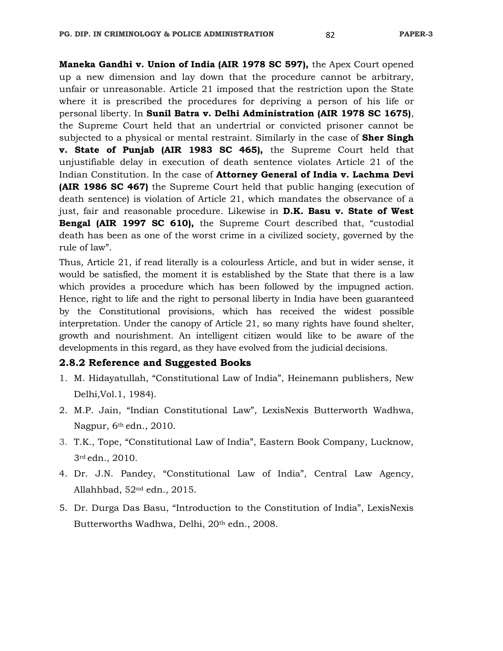**Maneka Gandhi v. Union of India (AIR 1978 SC 597),** the Apex Court opened up a new dimension and lay down that the procedure cannot be arbitrary, unfair or unreasonable. Article 21 imposed that the restriction upon the State where it is prescribed the procedures for depriving a person of his life or personal liberty. In **Sunil Batra v. Delhi Administration (AIR 1978 SC 1675)**, the Supreme Court held that an undertrial or convicted prisoner cannot be subjected to a physical or mental restraint. Similarly in the case of **Sher Singh v. State of Punjab (AIR 1983 SC 465),** the Supreme Court held that unjustifiable delay in execution of death sentence violates Article 21 of the Indian Constitution. In the case of **Attorney General of India v. Lachma Devi (AIR 1986 SC 467)** the Supreme Court held that public hanging (execution of death sentence) is violation of Article 21, which mandates the observance of a just, fair and reasonable procedure. Likewise in **D.K. Basu v. State of West Bengal (AIR 1997 SC 610),** the Supreme Court described that, "custodial death has been as one of the worst crime in a civilized society, governed by the rule of law".

Thus, Article 21, if read literally is a colourless Article, and but in wider sense, it would be satisfied, the moment it is established by the State that there is a law which provides a procedure which has been followed by the impugned action. Hence, right to life and the right to personal liberty in India have been guaranteed by the Constitutional provisions, which has received the widest possible interpretation. Under the canopy of Article 21, so many rights have found shelter, growth and nourishment. An intelligent citizen would like to be aware of the developments in this regard, as they have evolved from the judicial decisions.

#### **2.8.2 Reference and Suggested Books**

- 1. M. Hidayatullah, "Constitutional Law of India", Heinemann publishers, New Delhi,Vol.1, 1984).
- 2. M.P. Jain, "Indian Constitutional Law"*,* LexisNexis Butterworth Wadhwa, Nagpur, 6<sup>th</sup> edn., 2010.
- 3. T.K., Tope, "Constitutional Law of India", Eastern Book Company, Lucknow, 3rd edn., 2010.
- 4. Dr. J.N. Pandey, "Constitutional Law of India", Central Law Agency, Allahhbad, 52nd edn., 2015.
- 5. Dr. Durga Das Basu, "Introduction to the Constitution of India", LexisNexis Butterworths Wadhwa, Delhi, 20th edn., 2008.